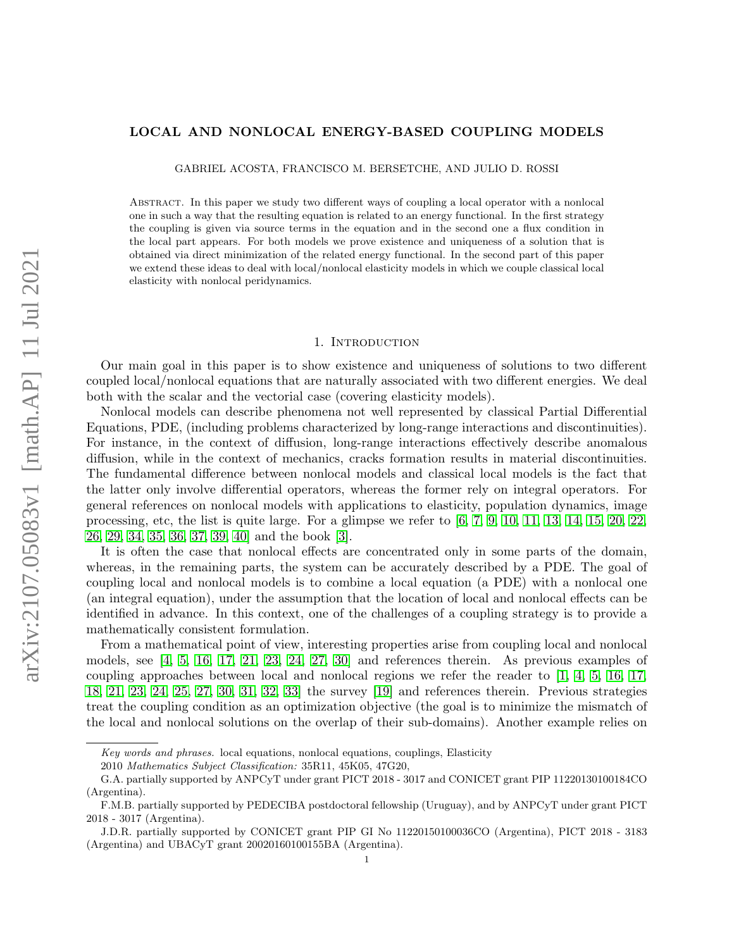## LOCAL AND NONLOCAL ENERGY-BASED COUPLING MODELS

GABRIEL ACOSTA, FRANCISCO M. BERSETCHE, AND JULIO D. ROSSI

Abstract. In this paper we study two different ways of coupling a local operator with a nonlocal one in such a way that the resulting equation is related to an energy functional. In the first strategy the coupling is given via source terms in the equation and in the second one a flux condition in the local part appears. For both models we prove existence and uniqueness of a solution that is obtained via direct minimization of the related energy functional. In the second part of this paper we extend these ideas to deal with local/nonlocal elasticity models in which we couple classical local elasticity with nonlocal peridynamics.

## 1. INTRODUCTION

Our main goal in this paper is to show existence and uniqueness of solutions to two different coupled local/nonlocal equations that are naturally associated with two different energies. We deal both with the scalar and the vectorial case (covering elasticity models).

Nonlocal models can describe phenomena not well represented by classical Partial Differential Equations, PDE, (including problems characterized by long-range interactions and discontinuities). For instance, in the context of diffusion, long-range interactions effectively describe anomalous diffusion, while in the context of mechanics, cracks formation results in material discontinuities. The fundamental difference between nonlocal models and classical local models is the fact that the latter only involve differential operators, whereas the former rely on integral operators. For general references on nonlocal models with applications to elasticity, population dynamics, image processing, etc, the list is quite large. For a glimpse we refer to  $[6, 7, 9, 10, 11, 13, 14, 15, 20, 22,$  $[6, 7, 9, 10, 11, 13, 14, 15, 20, 22,$  $[6, 7, 9, 10, 11, 13, 14, 15, 20, 22,$  $[6, 7, 9, 10, 11, 13, 14, 15, 20, 22,$  $[6, 7, 9, 10, 11, 13, 14, 15, 20, 22,$  $[6, 7, 9, 10, 11, 13, 14, 15, 20, 22,$  $[6, 7, 9, 10, 11, 13, 14, 15, 20, 22,$  $[6, 7, 9, 10, 11, 13, 14, 15, 20, 22,$  $[6, 7, 9, 10, 11, 13, 14, 15, 20, 22,$  $[6, 7, 9, 10, 11, 13, 14, 15, 20, 22,$ [26,](#page-29-9) [29,](#page-29-10) [34,](#page-30-0) [35,](#page-30-1) [36,](#page-30-2) [37,](#page-30-3) [39,](#page-30-4) [40\]](#page-30-5) and the book [\[3\]](#page-28-1).

It is often the case that nonlocal effects are concentrated only in some parts of the domain, whereas, in the remaining parts, the system can be accurately described by a PDE. The goal of coupling local and nonlocal models is to combine a local equation (a PDE) with a nonlocal one (an integral equation), under the assumption that the location of local and nonlocal effects can be identified in advance. In this context, one of the challenges of a coupling strategy is to provide a mathematically consistent formulation.

From a mathematical point of view, interesting properties arise from coupling local and nonlocal models, see [\[4,](#page-28-2) [5,](#page-28-3) [16,](#page-29-11) [17,](#page-29-12) [21,](#page-29-13) [23,](#page-29-14) [24,](#page-29-15) [27,](#page-29-16) [30\]](#page-30-6) and references therein. As previous examples of coupling approaches between local and nonlocal regions we refer the reader to [\[1,](#page-28-4) [4,](#page-28-2) [5,](#page-28-3) [16,](#page-29-11) [17,](#page-29-12) [18,](#page-29-17) [21,](#page-29-13) [23,](#page-29-14) [24,](#page-29-15) [25,](#page-29-18) [27,](#page-29-16) [30,](#page-30-6) [31,](#page-30-7) [32,](#page-30-8) [33\]](#page-30-9) the survey [\[19\]](#page-29-19) and references therein. Previous strategies treat the coupling condition as an optimization objective (the goal is to minimize the mismatch of the local and nonlocal solutions on the overlap of their sub-domains). Another example relies on

Key words and phrases. local equations, nonlocal equations, couplings, Elasticity

<sup>2010</sup> Mathematics Subject Classification: 35R11, 45K05, 47G20,

G.A. partially supported by ANPCyT under grant PICT 2018 - 3017 and CONICET grant PIP 11220130100184CO (Argentina).

F.M.B. partially supported by PEDECIBA postdoctoral fellowship (Uruguay), and by ANPCyT under grant PICT 2018 - 3017 (Argentina).

J.D.R. partially supported by CONICET grant PIP GI No 11220150100036CO (Argentina), PICT 2018 - 3183 (Argentina) and UBACyT grant 20020160100155BA (Argentina).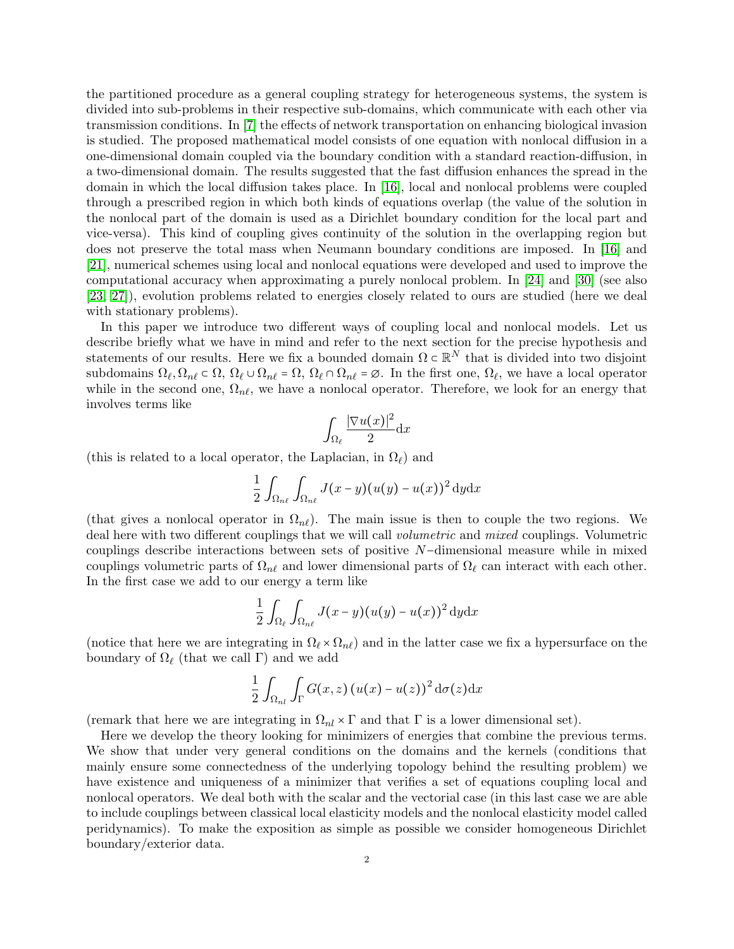the partitioned procedure as a general coupling strategy for heterogeneous systems, the system is divided into sub-problems in their respective sub-domains, which communicate with each other via transmission conditions. In [\[7\]](#page-29-0) the effects of network transportation on enhancing biological invasion is studied. The proposed mathematical model consists of one equation with nonlocal diffusion in a one-dimensional domain coupled via the boundary condition with a standard reaction-diffusion, in a two-dimensional domain. The results suggested that the fast diffusion enhances the spread in the domain in which the local diffusion takes place. In [\[16\]](#page-29-11), local and nonlocal problems were coupled through a prescribed region in which both kinds of equations overlap (the value of the solution in the nonlocal part of the domain is used as a Dirichlet boundary condition for the local part and vice-versa). This kind of coupling gives continuity of the solution in the overlapping region but does not preserve the total mass when Neumann boundary conditions are imposed. In [\[16\]](#page-29-11) and [\[21\]](#page-29-13), numerical schemes using local and nonlocal equations were developed and used to improve the computational accuracy when approximating a purely nonlocal problem. In [\[24\]](#page-29-15) and [\[30\]](#page-30-6) (see also [\[23,](#page-29-14) [27\]](#page-29-16)), evolution problems related to energies closely related to ours are studied (here we deal with stationary problems).

In this paper we introduce two different ways of coupling local and nonlocal models. Let us describe briefly what we have in mind and refer to the next section for the precise hypothesis and statements of our results. Here we fix a bounded domain  $\Omega \subset \mathbb{R}^N$  that is divided into two disjoint subdomains  $\Omega_{\ell}, \Omega_{n\ell} \subset \Omega$ ,  $\Omega_{\ell} \cup \Omega_{n\ell} = \Omega$ ,  $\Omega_{\ell} \cap \Omega_{n\ell} = \emptyset$ . In the first one,  $\Omega_{\ell}$ , we have a local operator while in the second one,  $\Omega_{n\ell}$ , we have a nonlocal operator. Therefore, we look for an energy that involves terms like

$$
\int_{\Omega_{\ell}} \frac{|\nabla u(x)|^2}{2} \mathrm{d}x
$$

(this is related to a local operator, the Laplacian, in  $\Omega_{\ell}$ ) and

$$
\frac{1}{2} \int_{\Omega_{n\ell}} \int_{\Omega_{n\ell}} J(x-y) (u(y) - u(x))^2 dy dx
$$

(that gives a nonlocal operator in  $\Omega_{n\ell}$ ). The main issue is then to couple the two regions. We deal here with two different couplings that we will call volumetric and mixed couplings. Volumetric couplings describe interactions between sets of positive N−dimensional measure while in mixed couplings volumetric parts of  $\Omega_{n\ell}$  and lower dimensional parts of  $\Omega_{\ell}$  can interact with each other. In the first case we add to our energy a term like

$$
\frac{1}{2}\int_{\Omega_{\ell}}\int_{\Omega_{n\ell}}J(x-y)(u(y)-u(x))^{2} dydx
$$

(notice that here we are integrating in  $\Omega_\ell \times \Omega_{n\ell}$ ) and in the latter case we fix a hypersurface on the boundary of  $\Omega_{\ell}$  (that we call Γ) and we add

$$
\frac{1}{2}\int_{\Omega_{nl}}\int_{\Gamma}G(x,z)\left(u(x)-u(z)\right)^{2}d\sigma(z)dx
$$

(remark that here we are integrating in  $\Omega_{nl} \times \Gamma$  and that  $\Gamma$  is a lower dimensional set).

Here we develop the theory looking for minimizers of energies that combine the previous terms. We show that under very general conditions on the domains and the kernels (conditions that mainly ensure some connectedness of the underlying topology behind the resulting problem) we have existence and uniqueness of a minimizer that verifies a set of equations coupling local and nonlocal operators. We deal both with the scalar and the vectorial case (in this last case we are able to include couplings between classical local elasticity models and the nonlocal elasticity model called peridynamics). To make the exposition as simple as possible we consider homogeneous Dirichlet boundary/exterior data.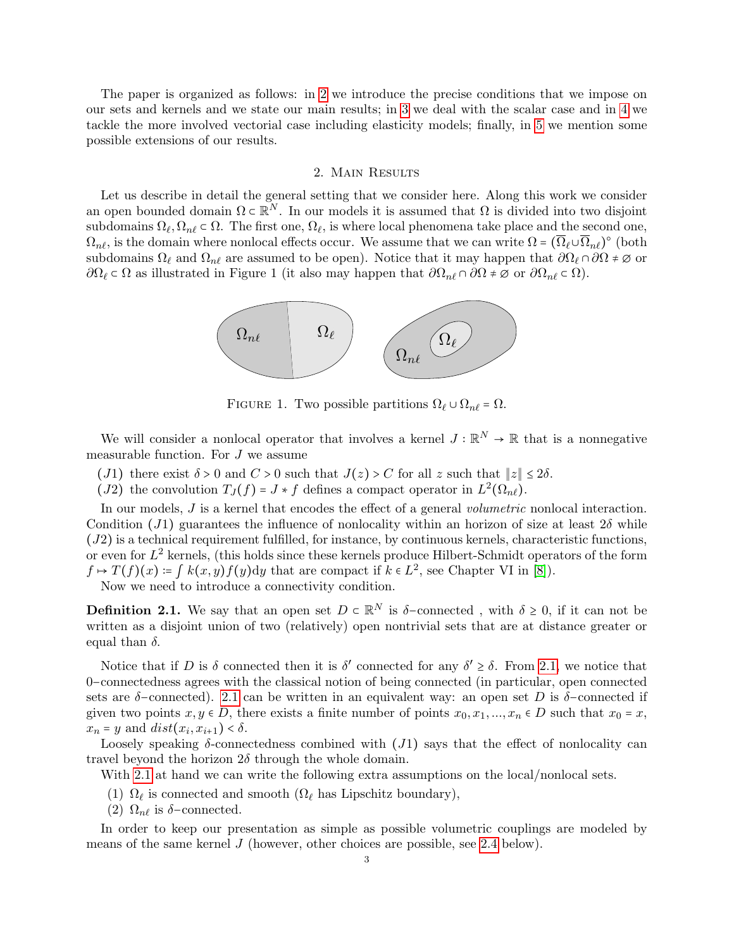The paper is organized as follows: in [2](#page-2-0) we introduce the precise conditions that we impose on our sets and kernels and we state our main results; in [3](#page-8-0) we deal with the scalar case and in [4](#page-16-0) we tackle the more involved vectorial case including elasticity models; finally, in [5](#page-26-0) we mention some possible extensions of our results.

#### 2. Main Results

<span id="page-2-0"></span>Let us describe in detail the general setting that we consider here. Along this work we consider an open bounded domain  $\Omega \subset \mathbb{R}^N$ . In our models it is assumed that  $\Omega$  is divided into two disjoint subdomains  $\Omega_{\ell}, \Omega_{n\ell} \subset \Omega$ . The first one,  $\Omega_{\ell}$ , is where local phenomena take place and the second one,  $\Omega_{n\ell}$ , is the domain where nonlocal effects occur. We assume that we can write  $\Omega = (\overline{\Omega}_{\ell} \cup \overline{\Omega}_{n\ell})^{\circ}$  (both and domain  $\Omega$ ) and  $\Omega$  are assumed to be even. Notice that it mean happen that  $\partial \Omega$  and  $\partial \Omega$  i subdomains  $\Omega_\ell$  and  $\Omega_{n\ell}$  are assumed to be open). Notice that it may happen that  $\partial\Omega_\ell \cap \partial\Omega \neq \emptyset$  or  $\partial\Omega_\ell \subset \Omega$  as illustrated in Figure 1 (it also may happen that  $\partial\Omega_{n\ell} \cap \partial\Omega \neq \emptyset$  or  $\partial\Omega_{n\ell} \subset \Omega$ ).



FIGURE 1. Two possible partitions  $\Omega_{\ell} \cup \Omega_{n\ell} = \Omega$ .

We will consider a nonlocal operator that involves a kernel  $J : \mathbb{R}^N \to \mathbb{R}$  that is a nonnegative measurable function. For J we assume

- (J1) there exist  $\delta > 0$  and  $C > 0$  such that  $J(z) > C$  for all z such that  $||z|| \leq 2\delta$ .
- (J2) the convolution  $T_J(f) = J * f$  defines a compact operator in  $L^2(\Omega_{n\ell})$ .

In our models, J is a kernel that encodes the effect of a general *volumetric* nonlocal interaction. Condition (J1) guarantees the influence of nonlocality within an horizon of size at least  $2\delta$  while  $(J2)$  is a technical requirement fulfilled, for instance, by continuous kernels, characteristic functions, or even for  $L^2$  kernels, (this holds since these kernels produce Hilbert-Schmidt operators of the form  $f \mapsto T(f)(x) := \int k(x, y) f(y) dy$  that are compact if  $k \in L^2$ , see Chapter VI in [\[8\]](#page-29-20)).

Now we need to introduce a connectivity condition.

<span id="page-2-1"></span>**Definition 2.1.** We say that an open set  $D \in \mathbb{R}^N$  is  $\delta$ -connected, with  $\delta \ge 0$ , if it can not be muitten as a disjoint union of two (polatively) appropriativity at that are at distance except an written as a disjoint union of two (relatively) open nontrivial sets that are at distance greater or equal than  $\delta$ .

Notice that if D is  $\delta$  connected then it is  $\delta'$  connected for any  $\delta' \geq \delta$ . From [2.1,](#page-2-1) we notice that 0−connectedness agrees with the classical notion of being connected (in particular, open connected sets are  $\delta$ -connected). [2.1](#page-2-1) can be written in an equivalent way: an open set D is  $\delta$ -connected if given two points  $x, y \in D$ , there exists a finite number of points  $x_0, x_1, ..., x_n \in D$  such that  $x_0 = x$ ,  $x_n = y$  and  $dist(x_i, x_{i+1}) < \delta$ .

Loosely speaking  $\delta$ -connectedness combined with  $(J1)$  says that the effect of nonlocality can travel beyond the horizon  $2\delta$  through the whole domain.

With [2.1](#page-2-1) at hand we can write the following extra assumptions on the local/nonlocal sets.

- (1)  $\Omega_{\ell}$  is connected and smooth ( $\Omega_{\ell}$  has Lipschitz boundary),
- (2)  $\Omega_{n\ell}$  is  $\delta$ -connected.

In order to keep our presentation as simple as possible volumetric couplings are modeled by means of the same kernel J (however, other choices are possible, see [2.4](#page-4-0) below).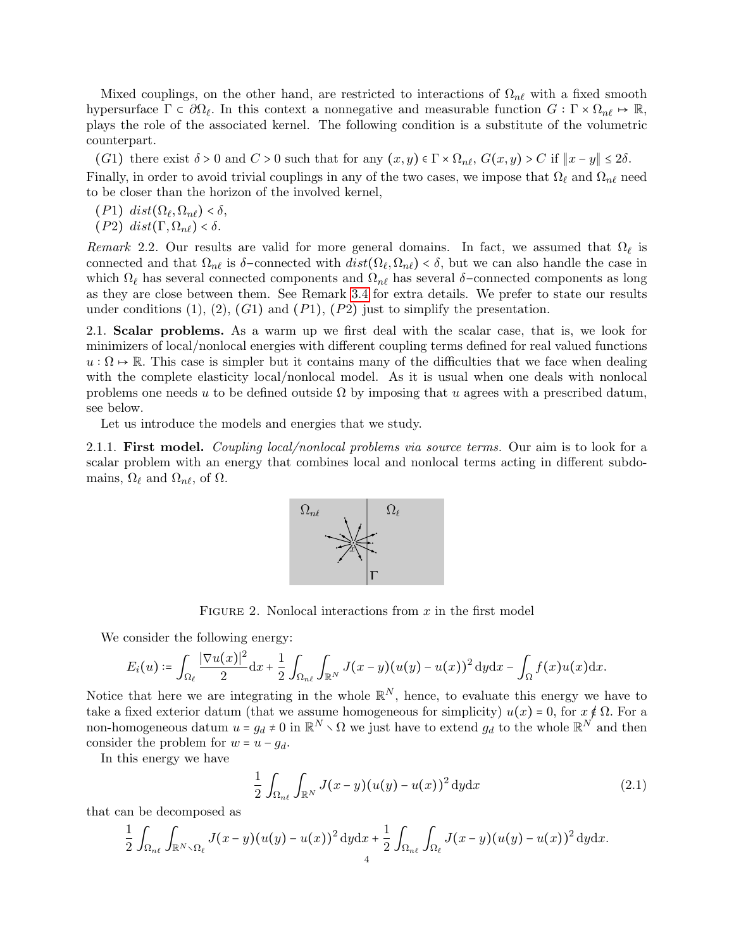Mixed couplings, on the other hand, are restricted to interactions of  $\Omega_{n\ell}$  with a fixed smooth hypersurface  $\Gamma \subset \partial \Omega_{\ell}$ . In this context a nonnegative and measurable function  $G : \Gamma \times \Omega_{n\ell} \mapsto \mathbb{R}$ , plays the role of the associated kernel. The following condition is a substitute of the volumetric counterpart.

(G1) there exist  $\delta > 0$  and  $C > 0$  such that for any  $(x, y) \in \Gamma \times \Omega_{n\ell}$ ,  $G(x, y) > C$  if  $||x - y|| \le 2\delta$ . Finally, in order to avoid trivial couplings in any of the two cases, we impose that  $\Omega_\ell$  and  $\Omega_{n\ell}$  need to be closer than the horizon of the involved kernel,

 $(P1)$  dist $(\Omega_{\ell}, \Omega_{n\ell}) < \delta$ ,<br>(*P*2) dist(*F* Q) is (P2) dist(Γ,  $\Omega_{n\ell}$ ) < δ.

Remark 2.2. Our results are valid for more general domains. In fact, we assumed that  $\Omega_\ell$  is connected and that  $\Omega_{n\ell}$  is  $\delta$ -connected with  $dist(\Omega_{\ell}, \Omega_{n\ell}) < \delta$ , but we can also handle the case in which  $\Omega_\ell$  has several connected components and  $\Omega_{n\ell}$  has several δ–connected components as long as they are close between them. See Remark [3.4](#page-11-0) for extra details. We prefer to state our results under conditions  $(1), (2), (G1)$  and  $(P1), (P2)$  just to simplify the presentation.

2.1. Scalar problems. As a warm up we first deal with the scalar case, that is, we look for minimizers of local/nonlocal energies with different coupling terms defined for real valued functions  $u : \Omega \to \mathbb{R}$ . This case is simpler but it contains many of the difficulties that we face when dealing with the complete elasticity local/nonlocal model. As it is usual when one deals with nonlocal problems one needs u to be defined outside  $\Omega$  by imposing that u agrees with a prescribed datum, see below.

Let us introduce the models and energies that we study.

2.1.1. First model. Coupling local/nonlocal problems via source terms. Our aim is to look for a scalar problem with an energy that combines local and nonlocal terms acting in different subdomains,  $\Omega_{\ell}$  and  $\Omega_{n\ell}$ , of  $\Omega$ .



FIGURE 2. Nonlocal interactions from  $x$  in the first model

We consider the following energy:

$$
E_i(u) \coloneqq \int_{\Omega_\ell} \frac{|\nabla u(x)|^2}{2} \mathrm{d}x + \frac{1}{2} \int_{\Omega_{n\ell}} \int_{\mathbb{R}^N} J(x-y)(u(y)-u(x))^2 \, \mathrm{d}y \mathrm{d}x - \int_{\Omega} f(x)u(x) \mathrm{d}x.
$$

Notice that here we are integrating in the whole  $\mathbb{R}^N$ , hence, to evaluate this energy we have to take a fixed exterior datum (that we assume homogeneous for simplicity)  $u(x) = 0$ , for  $x \notin \Omega$ . For a non-homogeneous datum  $u = g_d \neq 0$  in  $\mathbb{R}^N \setminus \Omega$  we just have to extend  $g_d$  to the whole  $\mathbb{R}^N$  and then consider the problem for  $w = u - g_d$ .

In this energy we have

<span id="page-3-0"></span>
$$
\frac{1}{2} \int_{\Omega_{n\ell}} \int_{\mathbb{R}^N} J(x - y) (u(y) - u(x))^2 dy dx \tag{2.1}
$$

that can be decomposed as

$$
\frac{1}{2}\int_{\Omega_{n\ell}}\int_{\mathbb{R}^N\setminus\Omega_{\ell}}J(x-y)(u(y)-u(x))^2\,\mathrm{d}y\mathrm{d}x+\frac{1}{2}\int_{\Omega_{n\ell}}\int_{\Omega_{\ell}}J(x-y)(u(y)-u(x))^2\,\mathrm{d}y\mathrm{d}x.
$$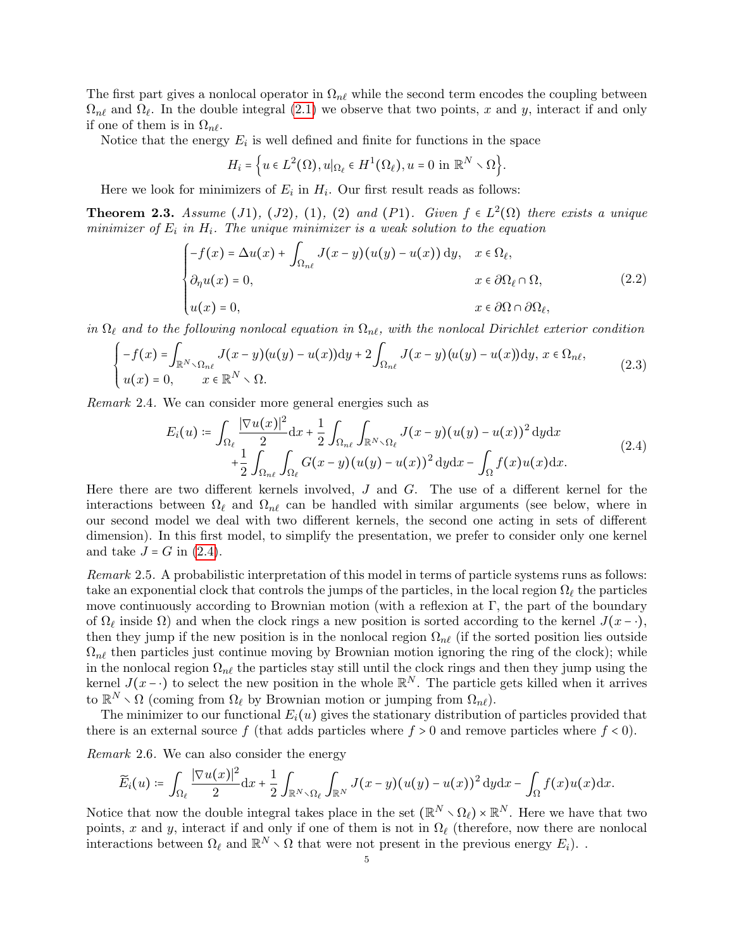The first part gives a nonlocal operator in  $\Omega_{n\ell}$  while the second term encodes the coupling between  $\Omega_{n\ell}$  and  $\Omega_{\ell}$ . In the double integral [\(2.1\)](#page-3-0) we observe that two points, x and y, interact if and only if one of them is in  $\Omega_{n\ell}$ .

Notice that the energy  $E_i$  is well defined and finite for functions in the space

<span id="page-4-4"></span><span id="page-4-3"></span>
$$
H_i = \Big\{ u \in L^2(\Omega), u|_{\Omega_\ell} \in H^1(\Omega_\ell), u = 0 \text{ in } \mathbb{R}^N \setminus \Omega \Big\}.
$$

Here we look for minimizers of  $E_i$  in  $H_i$ . Our first result reads as follows:

<span id="page-4-2"></span>**Theorem 2.3.** Assume (J1), (J2), (1), (2) and (P1). Given  $f \in L^2(\Omega)$  there exists a unique minimizer of  $E_i$  in  $H_i$ . The unique minimizer is a weak solution to the equation

$$
\begin{cases}\n-f(x) = \Delta u(x) + \int_{\Omega_{n\ell}} J(x - y)(u(y) - u(x)) dy, & x \in \Omega_{\ell}, \\
\partial_{\eta} u(x) = 0, & x \in \partial\Omega_{\ell} \cap \Omega, \\
u(x) = 0, & x \in \partial\Omega \cap \partial\Omega_{\ell},\n\end{cases}
$$
\n(2.2)

in  $\Omega_\ell$  and to the following nonlocal equation in  $\Omega_{n\ell}$ , with the nonlocal Dirichlet exterior condition

$$
\begin{cases}\n-f(x) = \int_{\mathbb{R}^N \setminus \Omega_{n\ell}} J(x-y)(u(y) - u(x)) \mathrm{d}y + 2 \int_{\Omega_{n\ell}} J(x-y)(u(y) - u(x)) \mathrm{d}y, & x \in \Omega_{n\ell}, \\
u(x) = 0, & x \in \mathbb{R}^N \setminus \Omega.\n\end{cases} (2.3)
$$

<span id="page-4-0"></span>Remark 2.4. We can consider more general energies such as

<span id="page-4-1"></span>
$$
E_i(u) \coloneqq \int_{\Omega_\ell} \frac{|\nabla u(x)|^2}{2} dx + \frac{1}{2} \int_{\Omega_{n\ell}} \int_{\mathbb{R}^N \setminus \Omega_\ell} J(x - y) (u(y) - u(x))^2 dy dx
$$
  
+ 
$$
\frac{1}{2} \int_{\Omega_{n\ell}} \int_{\Omega_\ell} G(x - y) (u(y) - u(x))^2 dy dx - \int_{\Omega} f(x) u(x) dx.
$$
 (2.4)

Here there are two different kernels involved, J and G. The use of a different kernel for the interactions between  $\Omega_\ell$  and  $\Omega_{n\ell}$  can be handled with similar arguments (see below, where in our second model we deal with two different kernels, the second one acting in sets of different dimension). In this first model, to simplify the presentation, we prefer to consider only one kernel and take  $J = G$  in  $(2.4)$ .

Remark 2.5. A probabilistic interpretation of this model in terms of particle systems runs as follows: take an exponential clock that controls the jumps of the particles, in the local region  $\Omega_\ell$  the particles move continuously according to Brownian motion (with a reflexion at  $\Gamma$ , the part of the boundary of  $\Omega_\ell$  inside  $\Omega$ ) and when the clock rings a new position is sorted according to the kernel  $J(x - \cdot)$ , then they jump if the new position is in the nonlocal region  $\Omega_{n\ell}$  (if the sorted position lies outside  $\Omega_{n\ell}$  then particles just continue moving by Brownian motion ignoring the ring of the clock); while in the nonlocal region  $\Omega_{n\ell}$  the particles stay still until the clock rings and then they jump using the kernel  $J(x - \cdot)$  to select the new position in the whole  $\mathbb{R}^N$ . The particle gets killed when it arrives to  $\mathbb{R}^N \setminus \Omega$  (coming from  $\Omega_\ell$  by Brownian motion or jumping from  $\Omega_{n\ell}$ ).

The minimizer to our functional  $E_i(u)$  gives the stationary distribution of particles provided that there is an external source f (that adds particles where  $f > 0$  and remove particles where  $f < 0$ ).

Remark 2.6. We can also consider the energy

$$
\widetilde{E}_i(u) \coloneqq \int_{\Omega_\ell} \frac{|\nabla u(x)|^2}{2} \mathrm{d}x + \frac{1}{2} \int_{\mathbb{R}^N \times \Omega_\ell} \int_{\mathbb{R}^N} J(x-y)(u(y) - u(x))^2 \, \mathrm{d}y \mathrm{d}x - \int_{\Omega} f(x)u(x) \mathrm{d}x.
$$

Notice that now the double integral takes place in the set  $(\mathbb{R}^N \setminus \Omega_\ell) \times \mathbb{R}^N$ . Here we have that two points, x and y, interact if and only if one of them is not in  $\Omega_\ell$  (therefore, now there are nonlocal interactions between  $\Omega_\ell$  and  $\mathbb{R}^N \setminus \Omega$  that were not present in the previous energy  $E_i$ ).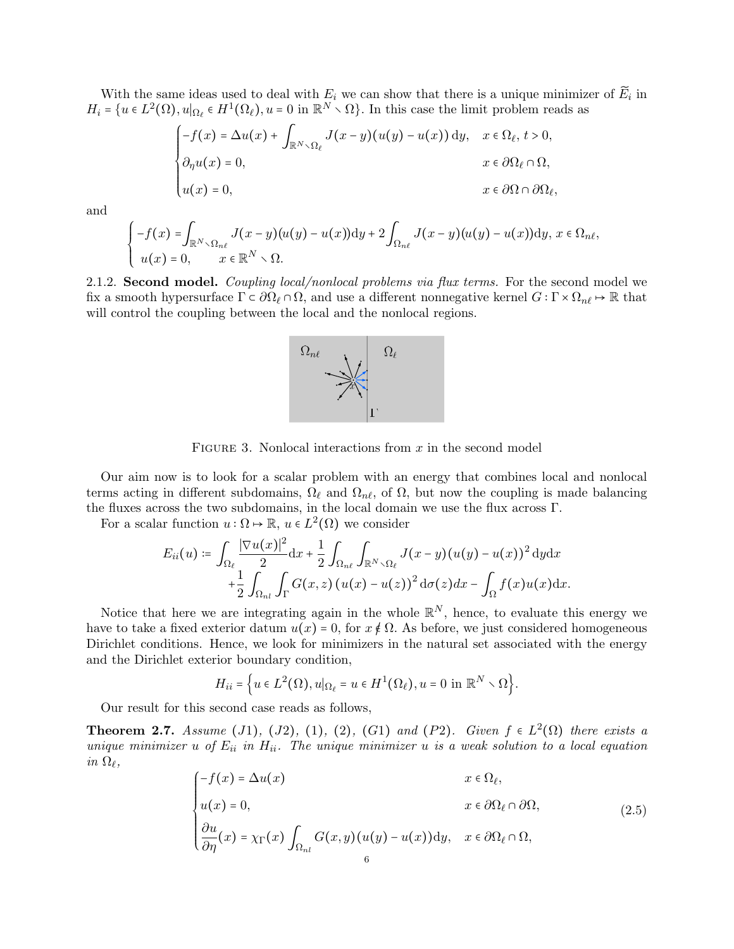With the same ideas used to deal with  $E_i$  we can show that there is a unique minimizer of  $E_i$  in  $H_i = \{u \in L^2(\Omega), u|_{\Omega_\ell} \in H^1(\Omega_\ell), u = 0 \text{ in } \mathbb{R}^N \setminus \Omega\}.$  In this case the limit problem reads as

$$
\begin{cases}\n-f(x) = \Delta u(x) + \int_{\mathbb{R}^N \setminus \Omega_\ell} J(x - y)(u(y) - u(x)) \, dy, & x \in \Omega_\ell, \ t > 0, \\
\partial_\eta u(x) = 0, & x \in \partial\Omega_\ell \cap \Omega, \\
u(x) = 0, & x \in \partial\Omega \cap \partial\Omega_\ell,\n\end{cases}
$$

and

$$
\begin{cases}\n-f(x) = \int_{\mathbb{R}^N \setminus \Omega_{n\ell}} J(x-y)(u(y) - u(x)) \mathrm{d}y + 2 \int_{\Omega_{n\ell}} J(x-y)(u(y) - u(x)) \mathrm{d}y, \ x \in \Omega_{n\ell}, \\
u(x) = 0, \qquad x \in \mathbb{R}^N \setminus \Omega.\n\end{cases}
$$

2.1.2. Second model. Coupling local/nonlocal problems via flux terms. For the second model we fix a smooth hypersurface  $\Gamma \subset \partial\Omega_\ell \cap \Omega$ , and use a different nonnegative kernel  $G : \Gamma \times \Omega_{n\ell} \to \mathbb{R}$  that will control the coupling between the local and the nonlocal regions.



FIGURE 3. Nonlocal interactions from  $x$  in the second model

Our aim now is to look for a scalar problem with an energy that combines local and nonlocal terms acting in different subdomains,  $\Omega_{\ell}$  and  $\Omega_{n\ell}$ , of  $\Omega$ , but now the coupling is made balancing the fluxes across the two subdomains, in the local domain we use the flux across Γ.

For a scalar function  $u : \Omega \to \mathbb{R}$ ,  $u \in L^2(\Omega)$  we consider

$$
E_{ii}(u) \coloneqq \int_{\Omega_{\ell}} \frac{|\nabla u(x)|^2}{2} dx + \frac{1}{2} \int_{\Omega_{n\ell}} \int_{\mathbb{R}^N \setminus \Omega_{\ell}} J(x - y)(u(y) - u(x))^2 dy dx
$$
  
+ 
$$
\frac{1}{2} \int_{\Omega_{n\ell}} \int_{\Gamma} G(x, z) (u(x) - u(z))^2 d\sigma(z) dx - \int_{\Omega} f(x) u(x) dx.
$$

Notice that here we are integrating again in the whole  $\mathbb{R}^N$ , hence, to evaluate this energy we have to take a fixed exterior datum  $u(x) = 0$ , for  $x \notin \Omega$ . As before, we just considered homogeneous Dirichlet conditions. Hence, we look for minimizers in the natural set associated with the energy and the Dirichlet exterior boundary condition,

<span id="page-5-1"></span>
$$
H_{ii} = \Big\{ u \in L^2(\Omega), u|_{\Omega_\ell} = u \in H^1(\Omega_\ell), u = 0 \text{ in } \mathbb{R}^N \setminus \Omega \Big\}.
$$

Our result for this second case reads as follows,

<span id="page-5-0"></span>**Theorem 2.7.** Assume (J1), (J2), (1), (2), (G1) and (P2). Given  $f \in L^2(\Omega)$  there exists a<br>unique minimizer  $y \circ f$ ,  $F_{\text{min}}$ ,  $T_{\text{max}}$  whenever minimizer  $y \circ g$  as used achtion to a local experience unique minimizer u of  $E_{ii}$  in  $H_{ii}$ . The unique minimizer u is a weak solution to a local equation in  $\Omega_{\ell}$ ,

$$
\begin{cases}\n-f(x) = \Delta u(x) & x \in \Omega_{\ell}, \\
u(x) = 0, & x \in \partial\Omega_{\ell} \cap \partial\Omega, \\
\frac{\partial u}{\partial \eta}(x) = \chi_{\Gamma}(x) \int_{\Omega_{nl}} G(x, y)(u(y) - u(x)) \,dy, & x \in \partial\Omega_{\ell} \cap \Omega,\n\end{cases} (2.5)
$$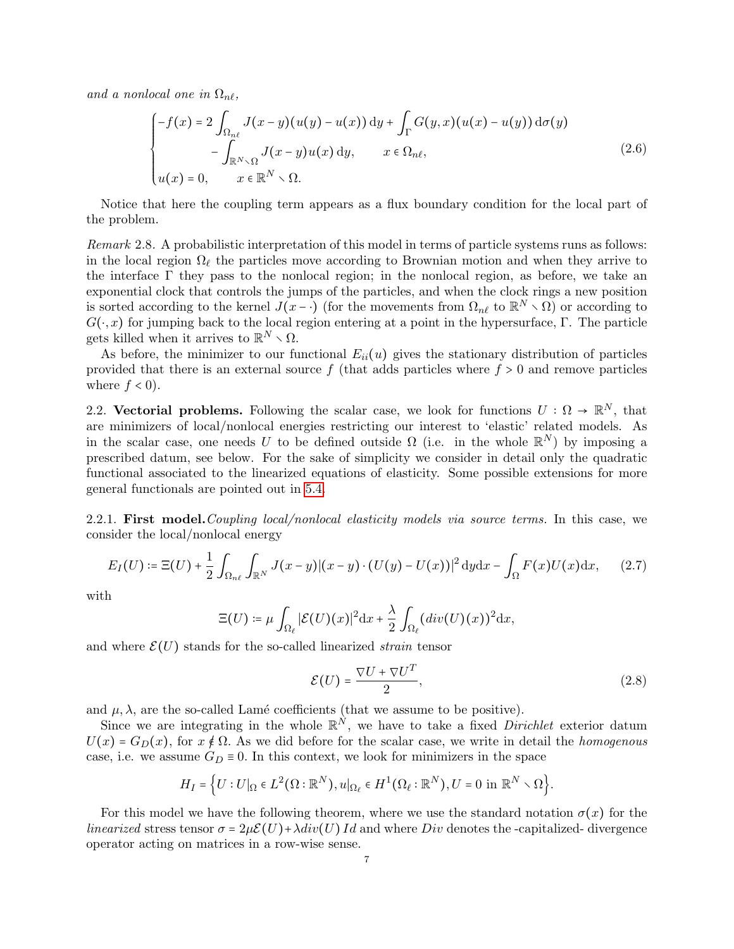and a nonlocal one in  $\Omega_{n\ell}$ ,

<span id="page-6-1"></span>
$$
\begin{cases}\n-f(x) = 2 \int_{\Omega_{n\ell}} J(x - y)(u(y) - u(x)) dy + \int_{\Gamma} G(y, x)(u(x) - u(y)) d\sigma(y) \\
-\int_{\mathbb{R}^N \setminus \Omega} J(x - y)u(x) dy, & x \in \Omega_{n\ell}, \\
u(x) = 0, & x \in \mathbb{R}^N \setminus \Omega.\n\end{cases}
$$
\n(2.6)

Notice that here the coupling term appears as a flux boundary condition for the local part of the problem.

Remark 2.8. A probabilistic interpretation of this model in terms of particle systems runs as follows: in the local region  $\Omega_{\ell}$  the particles move according to Brownian motion and when they arrive to the interface  $\Gamma$  they pass to the nonlocal region; in the nonlocal region, as before, we take an exponential clock that controls the jumps of the particles, and when the clock rings a new position is sorted according to the kernel  $J(x - \cdot)$  (for the movements from  $\Omega_{n\ell}$  to  $\mathbb{R}^N \setminus \Omega$ ) or according to  $G(\cdot, x)$  for jumping back to the local region entering at a point in the hypersurface, Γ. The particle gets killed when it arrives to  $\mathbb{R}^N \setminus \Omega$ .

As before, the minimizer to our functional  $E_{ii}(u)$  gives the stationary distribution of particles provided that there is an external source  $f$  (that adds particles where  $f > 0$  and remove particles where  $f < 0$ .

2.2. Vectorial problems. Following the scalar case, we look for functions  $U : \Omega \to \mathbb{R}^N$ , that are minimizers of local/nonlocal energies restricting our interest to 'elastic' related models. As in the scalar case, one needs U to be defined outside  $\Omega$  (i.e. in the whole  $\mathbb{R}^N$ ) by imposing a prescribed datum, see below. For the sake of simplicity we consider in detail only the quadratic functional associated to the linearized equations of elasticity. Some possible extensions for more general functionals are pointed out in [5.4.](#page-28-5)

2.2.1. First model. Coupling local/nonlocal elasticity models via source terms. In this case, we consider the local/nonlocal energy

$$
E_I(U) \coloneqq \Xi(U) + \frac{1}{2} \int_{\Omega_{n\ell}} \int_{\mathbb{R}^N} J(x - y) |(x - y) \cdot (U(y) - U(x))|^2 \, \mathrm{d}y \mathrm{d}x - \int_{\Omega} F(x) U(x) \mathrm{d}x, \tag{2.7}
$$

with

$$
\Xi(U) \coloneqq \mu \int_{\Omega_\ell} |\mathcal{E}(U)(x)|^2 \mathrm{d}x + \frac{\lambda}{2} \int_{\Omega_\ell} (div(U)(x))^2 \mathrm{d}x,
$$

and where  $\mathcal{E}(U)$  stands for the so-called linearized *strain* tensor

<span id="page-6-2"></span><span id="page-6-0"></span>
$$
\mathcal{E}(U) = \frac{\nabla U + \nabla U^T}{2},\tag{2.8}
$$

and  $\mu$ ,  $\lambda$ , are the so-called Lamé coefficients (that we assume to be positive).

Since we are integrating in the whole  $\mathbb{R}^N$ , we have to take a fixed *Dirichlet* exterior datum  $U(x) = G<sub>D</sub>(x)$ , for  $x \notin \Omega$ . As we did before for the scalar case, we write in detail the *homogenous* case, i.e. we assume  $G_D \equiv 0$ . In this context, we look for minimizers in the space

$$
H_I=\Big\{U:U|_{\Omega}\in L^2(\Omega:{\mathbb R}^N),u|_{\Omega_{\ell}}\in H^1(\Omega_{\ell}: {\mathbb R}^N), U=0\text{ in }{\mathbb R}^N\smallsetminus\Omega\Big\}.
$$

For this model we have the following theorem, where we use the standard notation  $\sigma(x)$  for the *linearized* stress tensor  $\sigma = 2\mu \mathcal{E}(U) + \lambda div(U) Id$  and where *Div* denotes the -capitalized- divergence operator acting on matrices in a row-wise sense.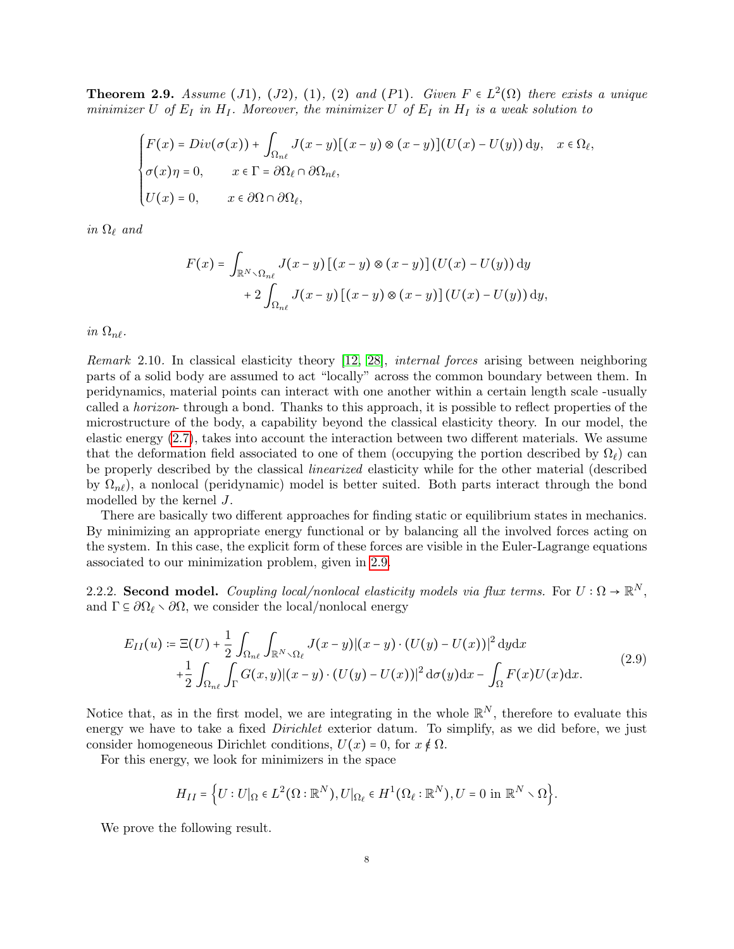<span id="page-7-0"></span>**Theorem 2.9.** Assume (J1), (J2), (1), (2) and (P1). Given  $F \in L^2(\Omega)$  there exists a unique minimizer U of  $E_I$  in  $H_I$ . Moreover, the minimizer U of  $E_I$  in  $H_I$  is a weak solution to

$$
\begin{cases}\nF(x) = Div(\sigma(x)) + \int_{\Omega_{n\ell}} J(x-y)[(x-y) \otimes (x-y)](U(x) - U(y)) \,dy, & x \in \Omega_{\ell}, \\
\sigma(x)\eta = 0, & x \in \Gamma = \partial\Omega_{\ell} \cap \partial\Omega_{n\ell}, \\
U(x) = 0, & x \in \partial\Omega \cap \partial\Omega_{\ell},\n\end{cases}
$$

in  $\Omega_{\ell}$  and

$$
F(x) = \int_{\mathbb{R}^N \setminus \Omega_{n\ell}} J(x - y) [(x - y) \otimes (x - y)] (U(x) - U(y)) dy
$$
  
+ 
$$
2 \int_{\Omega_{n\ell}} J(x - y) [(x - y) \otimes (x - y)] (U(x) - U(y)) dy,
$$

in  $\Omega_{n}$ .

Remark 2.10. In classical elasticity theory [\[12,](#page-29-21) [28\]](#page-29-22), internal forces arising between neighboring parts of a solid body are assumed to act "locally" across the common boundary between them. In peridynamics, material points can interact with one another within a certain length scale -usually called a horizon- through a bond. Thanks to this approach, it is possible to reflect properties of the microstructure of the body, a capability beyond the classical elasticity theory. In our model, the elastic energy [\(2.7\)](#page-6-0), takes into account the interaction between two different materials. We assume that the deformation field associated to one of them (occupying the portion described by  $\Omega_{\ell}$ ) can be properly described by the classical linearized elasticity while for the other material (described by  $\Omega_{n\ell}$ , a nonlocal (peridynamic) model is better suited. Both parts interact through the bond modelled by the kernel J.

There are basically two different approaches for finding static or equilibrium states in mechanics. By minimizing an appropriate energy functional or by balancing all the involved forces acting on the system. In this case, the explicit form of these forces are visible in the Euler-Lagrange equations associated to our minimization problem, given in [2.9.](#page-7-0)

2.2.2. Second model. Coupling local/nonlocal elasticity models via flux terms. For  $U : \Omega \to \mathbb{R}^N$ , and  $\Gamma \subseteq \partial \Omega_\ell \setminus \partial \Omega$ , we consider the local/nonlocal energy

$$
E_{II}(u) \coloneqq \Xi(U) + \frac{1}{2} \int_{\Omega_{n\ell}} \int_{\mathbb{R}^N \setminus \Omega_{\ell}} J(x - y) |(x - y) \cdot (U(y) - U(x))|^2 dy dx
$$
  
+ 
$$
\frac{1}{2} \int_{\Omega_{n\ell}} \int_{\Gamma} G(x, y) |(x - y) \cdot (U(y) - U(x))|^2 d\sigma(y) dx - \int_{\Omega} F(x)U(x) dx.
$$
 (2.9)

Notice that, as in the first model, we are integrating in the whole  $\mathbb{R}^N$ , therefore to evaluate this energy we have to take a fixed *Dirichlet* exterior datum. To simplify, as we did before, we just consider homogeneous Dirichlet conditions,  $U(x) = 0$ , for  $x \notin \Omega$ .

For this energy, we look for minimizers in the space

<span id="page-7-1"></span>
$$
H_{II}=\Big\{U:U|_{\Omega}\in L^2\big(\Omega:{\mathbb R}^N\big),U|_{\Omega_\ell}\in H^1\big(\Omega_\ell:{\mathbb R}^N\big),U=0\text{ in }{\mathbb R}^N\smallsetminus\Omega\Big\}.
$$

We prove the following result.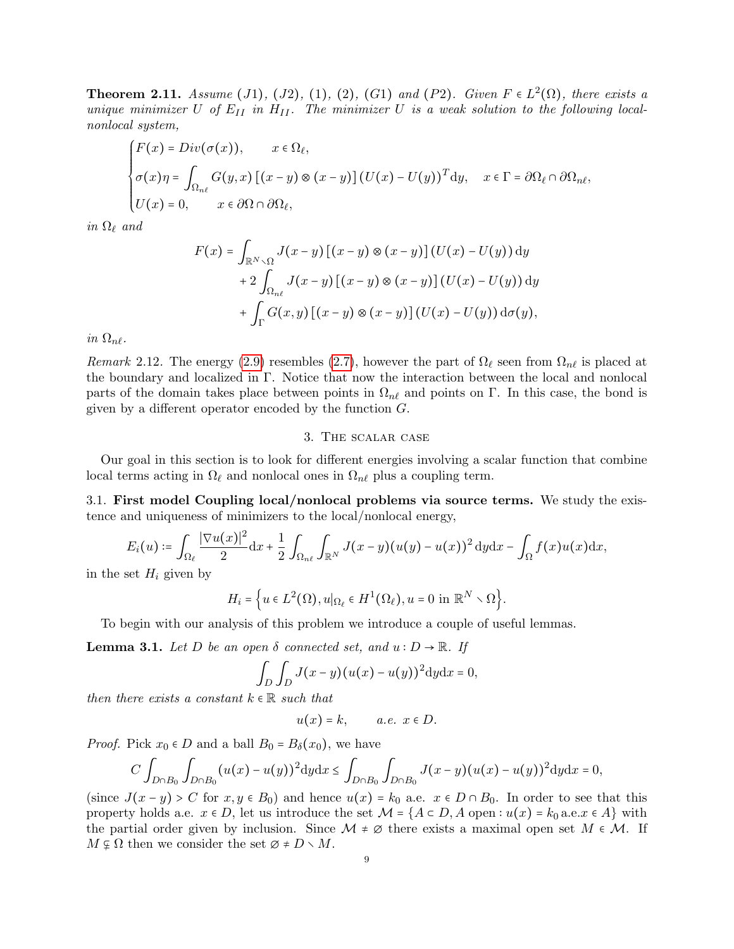<span id="page-8-2"></span>**Theorem 2.11.** Assume (J1), (J2), (1), (2), (G1) and (P2). Given  $F \in L^2(\Omega)$ , there exists a<br>unique minimized L of E in H Theoremission H is a weak solution to the following lead. unique minimizer U of  $E_{II}$  in  $H_{II}$ . The minimizer U is a weak solution to the following localnonlocal system,

$$
\begin{cases}\nF(x) = Div(\sigma(x)), & x \in \Omega_{\ell}, \\
\sigma(x)\eta = \int_{\Omega_{n\ell}} G(y,x) [(x-y) \otimes (x-y)] (U(x) - U(y))^T dy, & x \in \Gamma = \partial \Omega_{\ell} \cap \partial \Omega_{n\ell}, \\
U(x) = 0, & x \in \partial \Omega \cap \partial \Omega_{\ell},\n\end{cases}
$$

in  $\Omega_\ell$  and

$$
F(x) = \int_{\mathbb{R}^N \setminus \Omega} J(x - y) [(x - y) \otimes (x - y)] (U(x) - U(y)) dy
$$
  
+ 
$$
2 \int_{\Omega_{n\ell}} J(x - y) [(x - y) \otimes (x - y)] (U(x) - U(y)) dy
$$
  
+ 
$$
\int_{\Gamma} G(x, y) [(x - y) \otimes (x - y)] (U(x) - U(y)) d\sigma(y),
$$

in  $\Omega_{n\ell}$ .

Remark 2.12. The energy [\(2.9\)](#page-7-1) resembles [\(2.7\)](#page-6-0), however the part of  $\Omega_\ell$  seen from  $\Omega_{n\ell}$  is placed at the boundary and localized in Γ. Notice that now the interaction between the local and nonlocal parts of the domain takes place between points in  $\Omega_{n\ell}$  and points on Γ. In this case, the bond is given by a different operator encoded by the function  $G$ .

### 3. The scalar case

<span id="page-8-0"></span>Our goal in this section is to look for different energies involving a scalar function that combine local terms acting in  $\Omega_\ell$  and nonlocal ones in  $\Omega_{n\ell}$  plus a coupling term.

3.1. First model Coupling local/nonlocal problems via source terms. We study the existence and uniqueness of minimizers to the local/nonlocal energy,

$$
E_i(u) \coloneqq \int_{\Omega_\ell} \frac{|\nabla u(x)|^2}{2} dx + \frac{1}{2} \int_{\Omega_{n\ell}} \int_{\mathbb{R}^N} J(x-y)(u(y) - u(x))^2 dy dx - \int_{\Omega} f(x)u(x) dx,
$$

in the set  $H_i$  given by

$$
H_i = \Big\{ u \in L^2(\Omega), u|_{\Omega_\ell} \in H^1(\Omega_\ell), u = 0 \text{ in } \mathbb{R}^N \setminus \Omega \Big\}.
$$

To begin with our analysis of this problem we introduce a couple of useful lemmas.

<span id="page-8-1"></span>**Lemma 3.1.** Let D be an open  $\delta$  connected set, and  $u : D \to \mathbb{R}$ . If

$$
\int_D \int_D J(x-y)(u(x)-u(y))^2 dy dx = 0,
$$

then there exists a constant  $k \in \mathbb{R}$  such that

$$
u(x) = k, \qquad a.e. \ \ x \in D.
$$

*Proof.* Pick  $x_0 \in D$  and a ball  $B_0 = B_\delta(x_0)$ , we have

$$
C \int_{D \cap B_0} \int_{D \cap B_0} (u(x) - u(y))^2 dy dx \le \int_{D \cap B_0} \int_{D \cap B_0} J(x - y) (u(x) - u(y))^2 dy dx = 0,
$$

(since  $J(x - y) > C$  for  $x, y \in B_0$ ) and hence  $u(x) = k_0$  a.e.  $x \in D \cap B_0$ . In order to see that this property holds a.e.  $x \in D$ , let us introduce the set  $\mathcal{M} = \{A \subset D, A \text{ open} : u(x) = k_0 \text{ a.e. } x \in A\}$  with the partial order given by inclusion. Since  $\mathcal{M} \neq \emptyset$  there exists a maximal open set  $M \in \mathcal{M}$ . If  $M \varphi \Omega$  then we consider the set  $\varnothing \neq D \setminus M$ .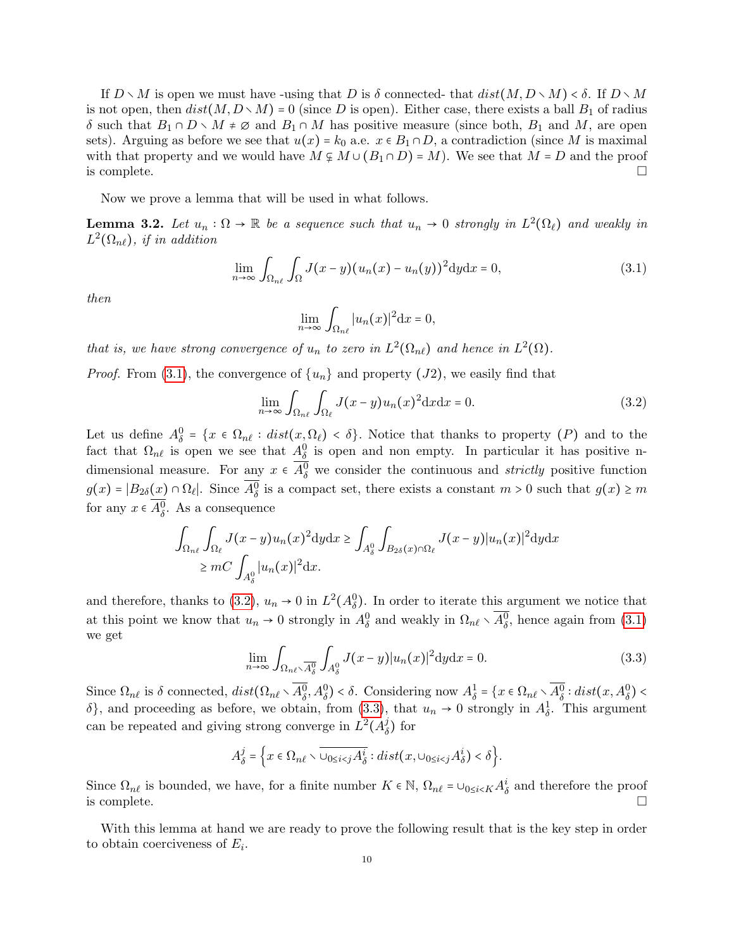If  $D \setminus M$  is open we must have -using that D is  $\delta$  connected- that  $dist(M, D \setminus M) < \delta$ . If  $D \setminus M$ is not open, then  $dist(M, D \setminus M) = 0$  (since D is open). Either case, there exists a ball  $B_1$  of radius δ such that  $B_1 ∩ D ∖ M ≠ ∅$  and  $B_1 ∩ M$  has positive measure (since both,  $B_1$  and M, are open sets). Arguing as before we see that  $u(x) = k_0$  a.e.  $x \in B_1 \cap D$ , a contradiction (since M is maximal with that property and we would have  $M \varphi M \cup (B_1 \cap D) = M$ . We see that  $M = D$  and the proof is complete. is complete.  $\Box$ 

Now we prove a lemma that will be used in what follows.

<span id="page-9-3"></span>**Lemma 3.2.** Let  $u_n : \Omega \to \mathbb{R}$  be a sequence such that  $u_n \to 0$  strongly in  $L^2(\Omega_\ell)$  and weakly in  $L^2(\Omega_{n\ell})$ , if in addition

$$
\lim_{n \to \infty} \int_{\Omega_{n\ell}} \int_{\Omega} J(x - y) (u_n(x) - u_n(y))^2 dy dx = 0,
$$
\n(3.1)

then

<span id="page-9-1"></span><span id="page-9-0"></span>
$$
\lim_{n \to \infty} \int_{\Omega_{n\ell}} |u_n(x)|^2 \mathrm{d}x = 0,
$$

that is, we have strong convergence of  $u_n$  to zero in  $L^2(\Omega_{n\ell})$  and hence in  $L^2(\Omega)$ .

*Proof.* From [\(3.1\)](#page-9-0), the convergence of  $\{u_n\}$  and property (J2), we easily find that

$$
\lim_{n \to \infty} \int_{\Omega_{n\ell}} \int_{\Omega_{\ell}} J(x - y) u_n(x)^2 dx dx = 0.
$$
 (3.2)

Let us define  $A_{\delta}^{0} = \{x \in \Omega_{n\ell} : dist(x, \Omega_{\ell}) < \delta\}$ . Notice that thanks to property (P) and to the fact that  $\Omega_{n\ell}$  is open we see that  $A_{\delta}^0$  is open and non empty. In particular it has positive ndimensional measure. For any  $x \in A_\delta^0$  we consider the continuous and *strictly* positive function  $g(x) = |B_{2\delta}(x) \cap \Omega_{\ell}|$ . Since  $\overline{A_{\delta}^0}$  is a compact set, there exists a constant  $m > 0$  such that  $g(x) \ge m$ for any  $x \in A_{\delta}^0$ . As a consequence

$$
\int_{\Omega_{n\ell}} \int_{\Omega_{\ell}} J(x-y)u_n(x)^2 dy dx \ge \int_{A_{\delta}^0} \int_{B_{2\delta}(x)\cap\Omega_{\ell}} J(x-y)|u_n(x)|^2 dy dx
$$
  
\n
$$
\ge mC \int_{A_{\delta}^0} |u_n(x)|^2 dx.
$$

and therefore, thanks to [\(3.2\)](#page-9-1),  $u_n \to 0$  in  $L^2(A_\delta^0)$ . In order to iterate this argument we notice that at this point we know that  $u_n \to 0$  strongly in  $A_\delta^0$  and weakly in  $\Omega_{n\ell} \setminus \overline{A_\delta^0}$ , hence again from [\(3.1\)](#page-9-0) we get

<span id="page-9-2"></span>
$$
\lim_{n \to \infty} \int_{\Omega_{n\ell} \setminus \overline{A_{\delta}^0}} \int_{A_{\delta}^0} J(x - y) |u_n(x)|^2 dy dx = 0.
$$
 (3.3)

Since  $\Omega_{n\ell}$  is  $\delta$  connected,  $dist(\Omega_{n\ell} \setminus \overline{A^0_\delta}, A^0_\delta) < \delta$ . Considering now  $A^1_\delta = \{x \in \Omega_{n\ell} \setminus \overline{A^0_\delta} : dist(x, A^0_\delta) < \delta\}$ δ}, and proceeding as before, we obtain, from [\(3.3\)](#page-9-2), that  $u_n \to 0$  strongly in  $A^1_\delta$ . This argument can be repeated and giving strong converge in  $L^2(A^j_\delta)$  $\frac{\partial}{\partial}$  for

$$
A_{\delta}^{j} = \Big\{ x \in \Omega_{n\ell} \setminus \overline{\cup_{0 \le i < j} A_{\delta}^{i}} : dist(x, \cup_{0 \le i < j} A_{\delta}^{i}) < \delta \Big\}.
$$

Since  $\Omega_{n\ell}$  is bounded, we have, for a finite number  $K \in \mathbb{N}$ ,  $\Omega_{n\ell} = \cup_{0 \le i \le K} A_{\delta}^i$  and therefore the proof is complete.  $\Box$ 

With this lemma at hand we are ready to prove the following result that is the key step in order to obtain coerciveness of  $E_i$ .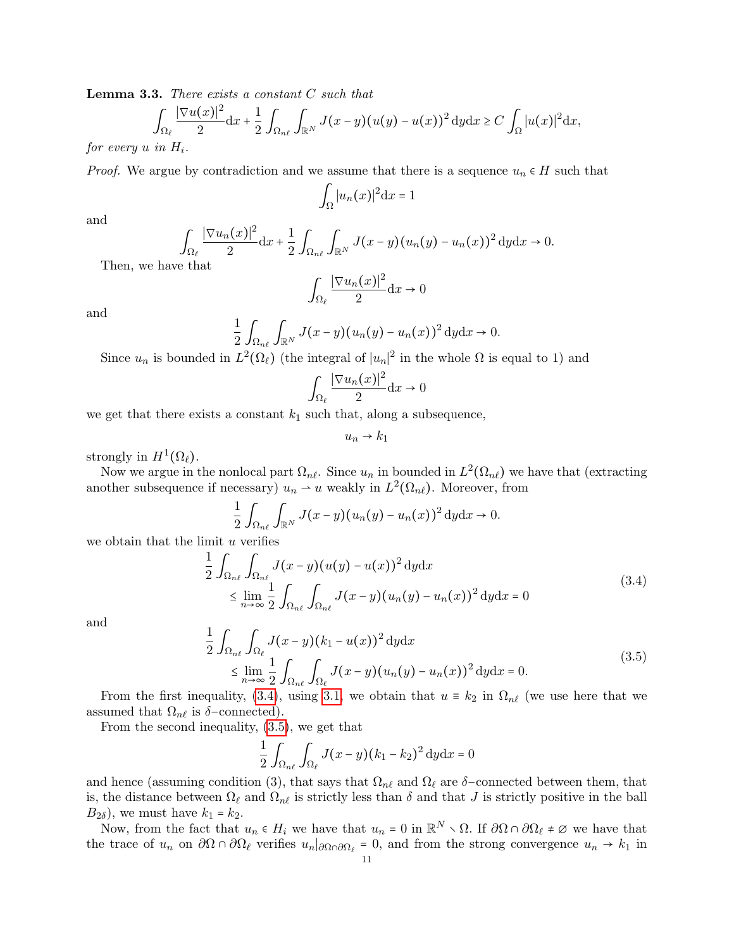<span id="page-10-2"></span>Lemma 3.3. There exists a constant C such that

$$
\int_{\Omega_{\ell}} \frac{|\nabla u(x)|^2}{2} dx + \frac{1}{2} \int_{\Omega_{n\ell}} \int_{\mathbb{R}^N} J(x-y)(u(y) - u(x))^2 dy dx \ge C \int_{\Omega} |u(x)|^2 dx,
$$

for every  $u$  in  $H_i$ .

*Proof.* We argue by contradiction and we assume that there is a sequence  $u_n \in H$  such that

$$
\int_{\Omega} |u_n(x)|^2 \mathrm{d}x = 1
$$

and

$$
\int_{\Omega_{\ell}} \frac{|\nabla u_n(x)|^2}{2} dx + \frac{1}{2} \int_{\Omega_{n\ell}} \int_{\mathbb{R}^N} J(x - y) (u_n(y) - u_n(x))^2 dy dx \to 0.
$$

Then, we have that

$$
\int_{\Omega_{\ell}} \frac{|\nabla u_n(x)|^2}{2} \mathrm{d}x \to 0
$$

and

$$
\frac{1}{2} \int_{\Omega_{n\ell}} \int_{\mathbb{R}^N} J(x-y) (u_n(y) - u_n(x))^2 dy dx \to 0.
$$

Since  $u_n$  is bounded in  $L^2(\Omega_\ell)$  (the integral of  $|u_n|^2$  in the whole  $\Omega$  is equal to 1) and

$$
\int_{\Omega_{\ell}} \frac{|\nabla u_n(x)|^2}{2} \mathrm{d}x \to 0
$$

we get that there exists a constant  $k_1$  such that, along a subsequence,

<span id="page-10-1"></span><span id="page-10-0"></span> $u_n \rightarrow k_1$ 

strongly in  $H^1(\Omega_\ell)$ .

Now we argue in the nonlocal part  $\Omega_{n\ell}$ . Since  $u_n$  in bounded in  $L^2(\Omega_{n\ell})$  we have that (extracting another subsequence if necessary)  $u_n \to u$  weakly in  $L^2(\Omega_{n\ell})$ . Moreover, from

$$
\frac{1}{2} \int_{\Omega_{n\ell}} \int_{\mathbb{R}^N} J(x-y) (u_n(y) - u_n(x))^2 \, \mathrm{d}y \mathrm{d}x \to 0.
$$

we obtain that the limit  $u$  verifies

$$
\frac{1}{2} \int_{\Omega_{n\ell}} \int_{\Omega_{n\ell}} J(x - y) (u(y) - u(x))^2 \, dy \, dx
$$
\n
$$
\leq \lim_{n \to \infty} \frac{1}{2} \int_{\Omega_{n\ell}} \int_{\Omega_{n\ell}} J(x - y) (u_n(y) - u_n(x))^2 \, dy \, dx = 0
$$
\n(3.4)

and

$$
\frac{1}{2} \int_{\Omega_{n\ell}} \int_{\Omega_{\ell}} J(x - y)(k_1 - u(x))^2 dy dx
$$
\n
$$
\leq \lim_{n \to \infty} \frac{1}{2} \int_{\Omega_{n\ell}} \int_{\Omega_{\ell}} J(x - y)(u_n(y) - u_n(x))^2 dy dx = 0.
$$
\n(3.5)

From the first inequality, [\(3.4\)](#page-10-0), using [3.1,](#page-8-1) we obtain that  $u \equiv k_2$  in  $\Omega_{n\ell}$  (we use here that we assumed that  $\Omega_{n\ell}$  is  $\delta$ -connected).

From the second inequality, [\(3.5\)](#page-10-1), we get that

$$
\frac{1}{2} \int_{\Omega_{n\ell}} \int_{\Omega_{\ell}} J(x-y)(k_1 - k_2)^2 dy dx = 0
$$

and hence (assuming condition (3), that says that  $\Omega_{n\ell}$  and  $\Omega_{\ell}$  are δ−connected between them, that is, the distance between  $\Omega_\ell$  and  $\Omega_{n\ell}$  is strictly less than  $\delta$  and that J is strictly positive in the ball  $B_{2\delta}$ , we must have  $k_1 = k_2$ .

Now, from the fact that  $u_n \in H_i$  we have that  $u_n = 0$  in  $\mathbb{R}^N \setminus \Omega$ . If  $\partial \Omega \cap \partial \Omega_\ell \neq \emptyset$  we have that the trace of  $u_n$  on  $\partial\Omega \cap \partial\Omega_\ell$  verifies  $u_n|_{\partial\Omega \cap \partial\Omega_\ell} = 0$ , and from the strong convergence  $u_n \to k_1$  in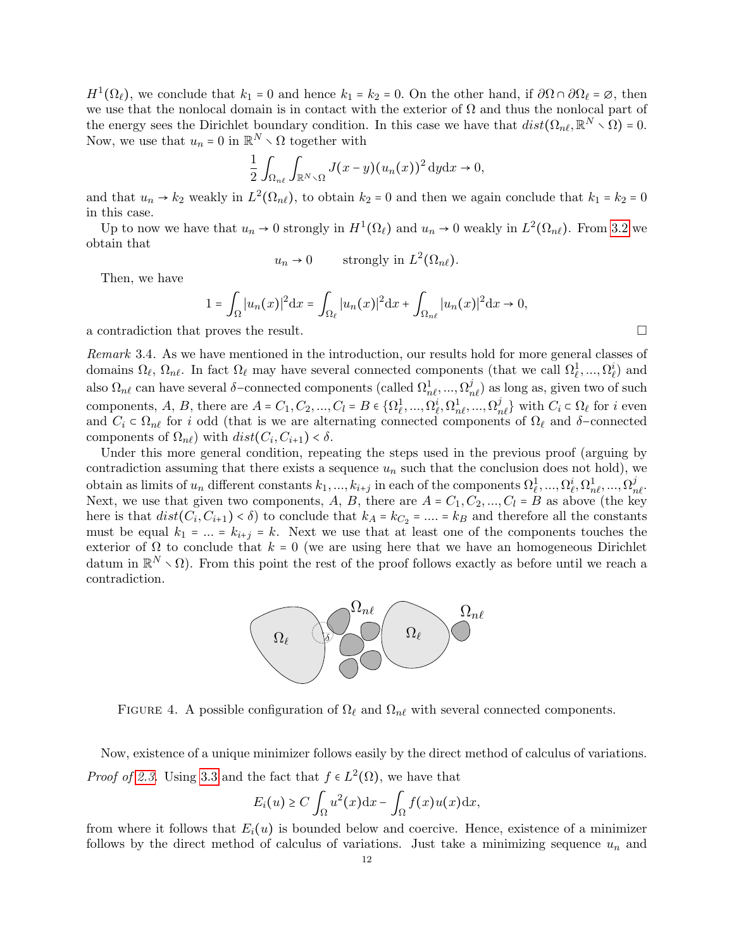$H^1(\Omega_\ell)$ , we conclude that  $k_1 = 0$  and hence  $k_1 = k_2 = 0$ . On the other hand, if  $\partial \Omega \cap \partial \Omega_\ell = \emptyset$ , then we use that the nonlocal domain is in contact with the exterior of  $\Omega$  and thus the nonlocal part of the energy sees the Dirichlet boundary condition. In this case we have that  $dist(\Omega_{n\ell}, \mathbb{R}^N \setminus \Omega) = 0$ . Now, we use that  $u_n = 0$  in  $\mathbb{R}^N \setminus \Omega$  together with

$$
\frac{1}{2} \int_{\Omega_{n\ell}} \int_{\mathbb{R}^N \setminus \Omega} J(x-y) (u_n(x))^2 \, dy \, dx \to 0,
$$

and that  $u_n \to k_2$  weakly in  $L^2(\Omega_{n\ell})$ , to obtain  $k_2 = 0$  and then we again conclude that  $k_1 = k_2 = 0$ in this case.

Up to now we have that  $u_n \to 0$  strongly in  $H^1(\Omega_\ell)$  and  $u_n \to 0$  weakly in  $L^2(\Omega_{n\ell})$ . From [3.2](#page-9-3) we obtain that

$$
u_n \to 0
$$
 strongly in  $L^2(\Omega_{n\ell})$ .

Then, we have

$$
1 = \int_{\Omega} |u_n(x)|^2 dx = \int_{\Omega_{\ell}} |u_n(x)|^2 dx + \int_{\Omega_{n\ell}} |u_n(x)|^2 dx \to 0,
$$

a contradiction that proves the result.

<span id="page-11-0"></span>Remark 3.4. As we have mentioned in the introduction, our results hold for more general classes of domains  $\Omega_\ell, \Omega_{n\ell}$ . In fact  $\Omega_\ell$  may have several connected components (that we call  $\Omega_\ell^1, ..., \Omega_\ell^i$ ) and also  $\Omega_{n\ell}$  can have several  $\delta$ -connected components (called  $\Omega_{n\ell}^1,...,\Omega_{n\ell}^j$ ) as long as, given two of such components, A, B, there are  $A = C_1, C_2, ..., C_l = B \in \{\Omega_e^1, ..., \Omega_e^i, \Omega_{ne}^1, ..., \Omega_{ne}^j\}$  with  $C_i \in \Omega_e$  for i even and  $C_i \subset \Omega_{n\ell}$  for i odd (that is we are alternating connected components of  $\Omega_{\ell}$  and δ-connected components of  $\Omega_{n\ell}$ ) with  $dist(C_i, C_{i+1}) < \delta$ .

Under this more general condition, repeating the steps used in the previous proof (arguing by contradiction assuming that there exists a sequence  $u_n$  such that the conclusion does not hold), we obtain as limits of  $u_n$  different constants  $k_1, ..., k_{i+j}$  in each of the components  $\Omega_\ell^1, ..., \Omega_\ell^i, \Omega_{n\ell}^1, ..., \Omega_{n\ell}^j$ Next, we use that given two components, A, B, there are  $A = C_1, C_2, ..., C_l = B$  as above (the key here is that  $dist(C_i, C_{i+1}) < \delta$  to conclude that  $k_A = k_{C_2} = ... = k_B$  and therefore all the constants must be equal  $k_1 = ... = k_{i+j} = k$ . Next we use that at least one of the components touches the exterior of  $\Omega$  to conclude that  $k = 0$  (we are using here that we have an homogeneous Dirichlet datum in  $\mathbb{R}^N \setminus \Omega$ ). From this point the rest of the proof follows exactly as before until we reach a contradiction.



FIGURE 4. A possible configuration of  $\Omega_\ell$  and  $\Omega_{n\ell}$  with several connected components.

Now, existence of a unique minimizer follows easily by the direct method of calculus of variations. *Proof of [2.3.](#page-4-2)* Using [3.3](#page-10-2) and the fact that  $f \in L^2(\Omega)$ , we have that

$$
E_i(u) \ge C \int_{\Omega} u^2(x) dx - \int_{\Omega} f(x)u(x) dx,
$$

from where it follows that  $E_i(u)$  is bounded below and coercive. Hence, existence of a minimizer follows by the direct method of calculus of variations. Just take a minimizing sequence  $u_n$  and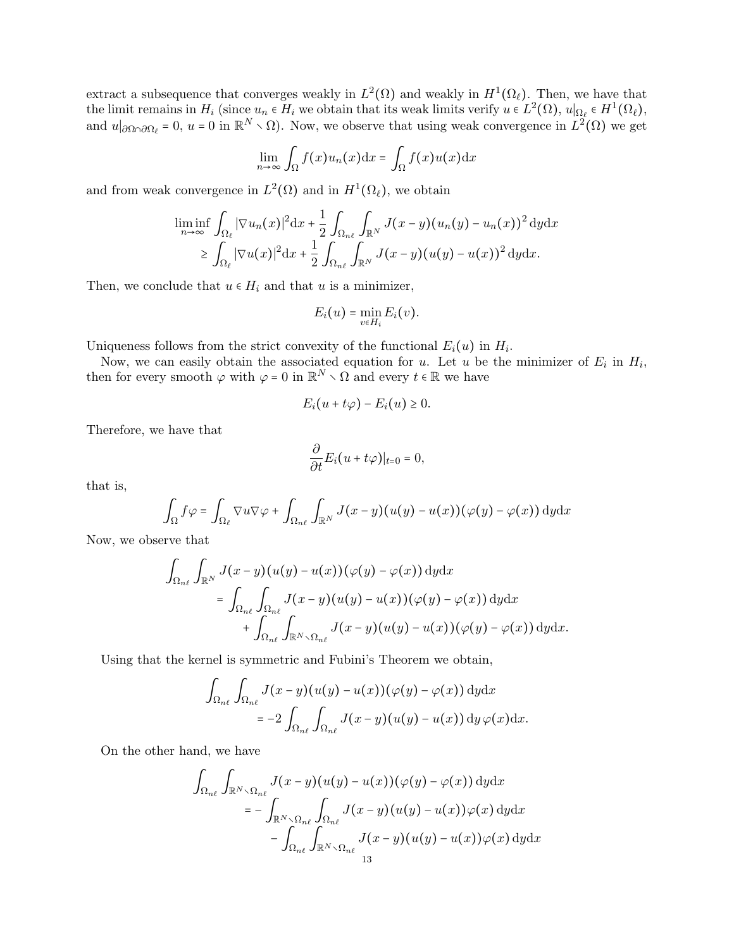extract a subsequence that converges weakly in  $L^2(\Omega)$  and weakly in  $H^1(\Omega_{\ell})$ . Then, we have that the limit remains in  $H_i$  (since  $u_n \in H_i$  we obtain that its weak limits verify  $u \in L^2(\Omega)$ ,  $u|_{\Omega_\ell} \in H^1(\Omega_\ell)$ , and  $u|_{\partial\Omega\cap\partial\Omega_\ell} = 0$ ,  $u = 0$  in  $\mathbb{R}^N \setminus \Omega$ ). Now, we observe that using weak convergence in  $L^2(\Omega)$  we get

$$
\lim_{n \to \infty} \int_{\Omega} f(x) u_n(x) dx = \int_{\Omega} f(x) u(x) dx
$$

and from weak convergence in  $L^2(\Omega)$  and in  $H^1(\Omega_{\ell})$ , we obtain

$$
\liminf_{n \to \infty} \int_{\Omega_{\ell}} |\nabla u_n(x)|^2 dx + \frac{1}{2} \int_{\Omega_{n\ell}} \int_{\mathbb{R}^N} J(x - y) (u_n(y) - u_n(x))^2 dy dx
$$
  
\n
$$
\geq \int_{\Omega_{\ell}} |\nabla u(x)|^2 dx + \frac{1}{2} \int_{\Omega_{n\ell}} \int_{\mathbb{R}^N} J(x - y) (u(y) - u(x))^2 dy dx.
$$

Then, we conclude that  $u \in H_i$  and that u is a minimizer,

$$
E_i(u)=\min_{v\in H_i}E_i(v).
$$

Uniqueness follows from the strict convexity of the functional  $E_i(u)$  in  $H_i$ .

Now, we can easily obtain the associated equation for u. Let u be the minimizer of  $E_i$  in  $H_i$ , then for every smooth  $\varphi$  with  $\varphi = 0$  in  $\mathbb{R}^N \setminus \Omega$  and every  $t \in \mathbb{R}$  we have

$$
E_i(u+t\varphi) - E_i(u) \geq 0.
$$

Therefore, we have that

$$
\frac{\partial}{\partial t}E_i(u+t\varphi)|_{t=0}=0,
$$

that is,

$$
\int_{\Omega} f \varphi = \int_{\Omega_{\ell}} \nabla u \nabla \varphi + \int_{\Omega_{n\ell}} \int_{\mathbb{R}^N} J(x - y) (u(y) - u(x)) (\varphi(y) - \varphi(x)) \, dy \, dx
$$

Now, we observe that

$$
\int_{\Omega_{n\ell}} \int_{\mathbb{R}^N} J(x - y)(u(y) - u(x))(\varphi(y) - \varphi(x)) \,dydx
$$
\n
$$
= \int_{\Omega_{n\ell}} \int_{\Omega_{n\ell}} J(x - y)(u(y) - u(x))(\varphi(y) - \varphi(x)) \,dydx
$$
\n
$$
+ \int_{\Omega_{n\ell}} \int_{\mathbb{R}^N \setminus \Omega_{n\ell}} J(x - y)(u(y) - u(x))(\varphi(y) - \varphi(x)) \,dydx.
$$

Using that the kernel is symmetric and Fubini's Theorem we obtain,

$$
\int_{\Omega_{n\ell}} \int_{\Omega_{n\ell}} J(x-y)(u(y)-u(x))(\varphi(y)-\varphi(x)) \,dydx
$$
  
=  $-2 \int_{\Omega_{n\ell}} \int_{\Omega_{n\ell}} J(x-y)(u(y)-u(x)) \,dy \,\varphi(x)dx.$ 

On the other hand, we have

$$
\int_{\Omega_{n\ell}} \int_{\mathbb{R}^N \setminus \Omega_{n\ell}} J(x - y)(u(y) - u(x))(\varphi(y) - \varphi(x)) \,dydx
$$
\n
$$
= - \int_{\mathbb{R}^N \setminus \Omega_{n\ell}} \int_{\Omega_{n\ell}} J(x - y)(u(y) - u(x))\varphi(x) \,dydx
$$
\n
$$
- \int_{\Omega_{n\ell}} \int_{\mathbb{R}^N \setminus \Omega_{n\ell}} J(x - y)(u(y) - u(x))\varphi(x) \,dydx
$$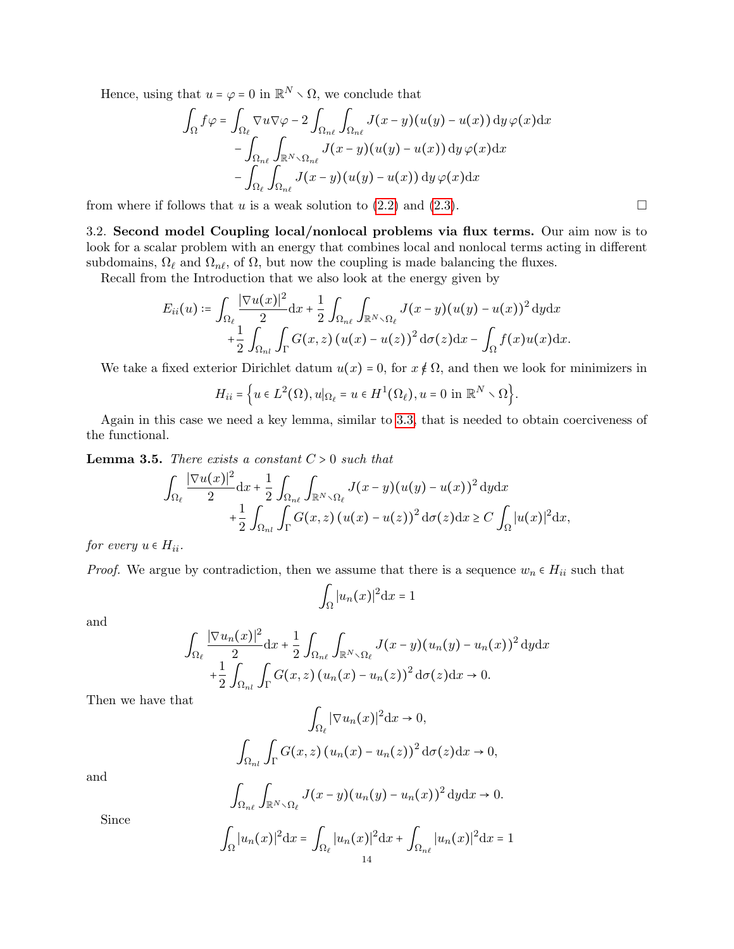Hence, using that  $u = \varphi = 0$  in  $\mathbb{R}^N \setminus \Omega$ , we conclude that

$$
\int_{\Omega} f \varphi = \int_{\Omega_{\ell}} \nabla u \nabla \varphi - 2 \int_{\Omega_{n\ell}} \int_{\Omega_{n\ell}} J(x - y) (u(y) - u(x)) dy \varphi(x) dx \n- \int_{\Omega_{n\ell}} \int_{\mathbb{R}^N \setminus \Omega_{n\ell}} J(x - y) (u(y) - u(x)) dy \varphi(x) dx \n- \int_{\Omega_{\ell}} \int_{\Omega_{n\ell}} J(x - y) (u(y) - u(x)) dy \varphi(x) dx
$$

from where if follows that u is a weak solution to  $(2.2)$  and  $(2.3)$ .

3.2. Second model Coupling local/nonlocal problems via flux terms. Our aim now is to look for a scalar problem with an energy that combines local and nonlocal terms acting in different subdomains,  $\Omega_{\ell}$  and  $\Omega_{n\ell}$ , of  $\Omega$ , but now the coupling is made balancing the fluxes.

Recall from the Introduction that we also look at the energy given by

$$
E_{ii}(u) \coloneqq \int_{\Omega_{\ell}} \frac{|\nabla u(x)|^2}{2} dx + \frac{1}{2} \int_{\Omega_{n\ell}} \int_{\mathbb{R}^N \setminus \Omega_{\ell}} J(x - y)(u(y) - u(x))^2 dy dx + \frac{1}{2} \int_{\Omega_{n\ell}} \int_{\Gamma} G(x, z) (u(x) - u(z))^2 d\sigma(z) dx - \int_{\Omega} f(x) u(x) dx.
$$

We take a fixed exterior Dirichlet datum  $u(x) = 0$ , for  $x \notin \Omega$ , and then we look for minimizers in

$$
H_{ii} = \Big\{ u \in L^2(\Omega), u|_{\Omega_\ell} = u \in H^1(\Omega_\ell), u = 0 \text{ in } \mathbb{R}^N \setminus \Omega \Big\}.
$$

Again in this case we need a key lemma, similar to [3.3,](#page-10-2) that is needed to obtain coerciveness of the functional.

**Lemma 3.5.** There exists a constant  $C > 0$  such that

$$
\int_{\Omega_{\ell}} \frac{|\nabla u(x)|^2}{2} dx + \frac{1}{2} \int_{\Omega_{n\ell}} \int_{\mathbb{R}^N \setminus \Omega_{\ell}} J(x - y) (u(y) - u(x))^2 dy dx \n+ \frac{1}{2} \int_{\Omega_{n\ell}} \int_{\Gamma} G(x, z) (u(x) - u(z))^2 d\sigma(z) dx \ge C \int_{\Omega} |u(x)|^2 dx,
$$

for every  $u \in H_{ii}$ .

*Proof.* We argue by contradiction, then we assume that there is a sequence  $w_n \in H_{ii}$  such that

$$
\int_{\Omega} |u_n(x)|^2 \mathrm{d}x = 1
$$

and

$$
\int_{\Omega_{\ell}} \frac{|\nabla u_n(x)|^2}{2} dx + \frac{1}{2} \int_{\Omega_{n\ell}} \int_{\mathbb{R}^N \setminus \Omega_{\ell}} J(x - y) (u_n(y) - u_n(x))^2 dy dx
$$
  
+ 
$$
\frac{1}{2} \int_{\Omega_{n\ell}} \int_{\Gamma} G(x, z) (u_n(x) - u_n(z))^2 d\sigma(z) dx \to 0.
$$

 $\Gamma$ 

Then we have that

$$
\int_{\Omega_{\ell}} |\nabla u_n(x)|^2 dx \to 0,
$$

$$
\int_{\Omega_{nl}} \int_{\Gamma} G(x, z) (u_n(x) - u_n(z))^2 d\sigma(z) dx \to 0,
$$

and

$$
\int_{\Omega_{n\ell}} \int_{\mathbb{R}^N \setminus \Omega_{\ell}} J(x-y) (u_n(y) - u_n(x))^2 dy dx \to 0.
$$

Since

$$
\int_{\Omega} |u_n(x)|^2 dx = \int_{\Omega_{\ell}} |u_n(x)|^2 dx + \int_{\Omega_{n\ell}} |u_n(x)|^2 dx = 1
$$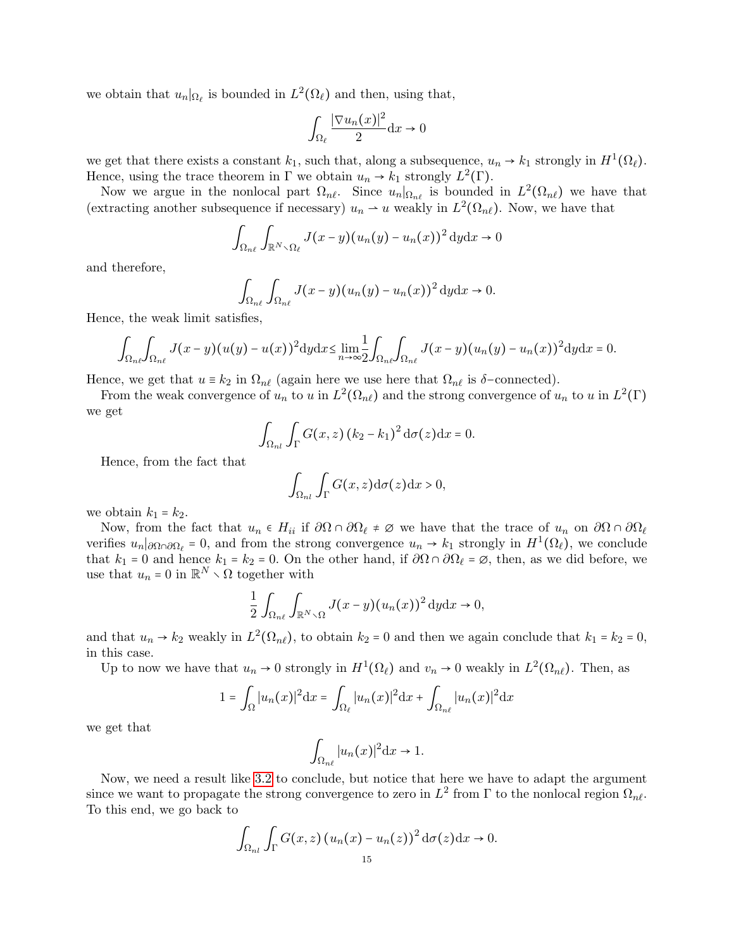we obtain that  $u_n|_{\Omega_\ell}$  is bounded in  $L^2(\Omega_\ell)$  and then, using that,

$$
\int_{\Omega_{\ell}} \frac{|\nabla u_n(x)|^2}{2} \mathrm{d}x \to 0
$$

we get that there exists a constant  $k_1$ , such that, along a subsequence,  $u_n \to k_1$  strongly in  $H^1(\Omega_\ell)$ . Hence, using the trace theorem in  $\Gamma$  we obtain  $u_n \to k_1$  strongly  $L^2(\Gamma)$ .

Now we argue in the nonlocal part  $\Omega_{n\ell}$ . Since  $u_n|_{\Omega_{n\ell}}$  is bounded in  $L^2(\Omega_{n\ell})$  we have that (extracting another subsequence if necessary)  $u_n \to u$  weakly in  $L^2(\Omega_{n\ell})$ . Now, we have that

$$
\int_{\Omega_{n\ell}} \int_{\mathbb{R}^N \setminus \Omega_{\ell}} J(x-y) (u_n(y) - u_n(x))^2 dy dx \to 0
$$

and therefore,

$$
\int_{\Omega_{n\ell}} \int_{\Omega_{n\ell}} J(x-y) (u_n(y) - u_n(x))^2 dy dx \to 0.
$$

Hence, the weak limit satisfies,

$$
\int_{\Omega_{n\ell}}\int_{\Omega_{n\ell}}J(x-y)(u(y)-u(x))^2\mathrm{d}y\mathrm{d}x\leq \lim_{n\to\infty}\frac{1}{2}\int_{\Omega_{n\ell}}\int_{\Omega_{n\ell}}J(x-y)(u_n(y)-u_n(x))^2\mathrm{d}y\mathrm{d}x=0.
$$

Hence, we get that  $u \equiv k_2$  in  $\Omega_{n\ell}$  (again here we use here that  $\Omega_{n\ell}$  is  $\delta$ -connected).

From the weak convergence of  $u_n$  to u in  $L^2(\Omega_{n\ell})$  and the strong convergence of  $u_n$  to u in  $L^2(\Gamma)$ we get

$$
\int_{\Omega_{nl}} \int_{\Gamma} G(x, z) (k_2 - k_1)^2 d\sigma(z) dx = 0.
$$

Hence, from the fact that

$$
\int_{\Omega_{nl}} \int_{\Gamma} G(x, z) \mathrm{d}\sigma(z) \mathrm{d}x > 0,
$$

we obtain  $k_1 = k_2$ .

Now, from the fact that  $u_n \in H_{ii}$  if  $\partial\Omega \cap \partial\Omega_\ell \neq \emptyset$  we have that the trace of  $u_n$  on  $\partial\Omega \cap \partial\Omega_\ell$ verifies  $u_n|_{\partial\Omega_0\cap\partial\Omega_\ell} = 0$ , and from the strong convergence  $u_n \to k_1$  strongly in  $H^1(\Omega_\ell)$ , we conclude that  $k_1 = 0$  and hence  $k_1 = k_2 = 0$ . On the other hand, if  $\partial\Omega \cap \partial\Omega_\ell = \emptyset$ , then, as we did before, we use that  $u_n = 0$  in  $\mathbb{R}^N \setminus \Omega$  together with

$$
\frac{1}{2} \int_{\Omega_{n\ell}} \int_{\mathbb{R}^N \setminus \Omega} J(x-y) (u_n(x))^2 \, dy \, dx \to 0,
$$

and that  $u_n \to k_2$  weakly in  $L^2(\Omega_{n\ell})$ , to obtain  $k_2 = 0$  and then we again conclude that  $k_1 = k_2 = 0$ , in this case.

Up to now we have that  $u_n \to 0$  strongly in  $H^1(\Omega_\ell)$  and  $v_n \to 0$  weakly in  $L^2(\Omega_{n\ell})$ . Then, as

$$
1 = \int_{\Omega} |u_n(x)|^2 dx = \int_{\Omega_{\ell}} |u_n(x)|^2 dx + \int_{\Omega_{n\ell}} |u_n(x)|^2 dx
$$

we get that

$$
\int_{\Omega_{n\ell}} |u_n(x)|^2 \mathrm{d}x \to 1.
$$

Now, we need a result like [3.2](#page-9-3) to conclude, but notice that here we have to adapt the argument since we want to propagate the strong convergence to zero in  $L^2$  from  $\Gamma$  to the nonlocal region  $\Omega_{n\ell}$ . To this end, we go back to

$$
\int_{\Omega_{nl}} \int_{\Gamma} G(x, z) (u_n(x) - u_n(z))^2 d\sigma(z) dx \to 0.
$$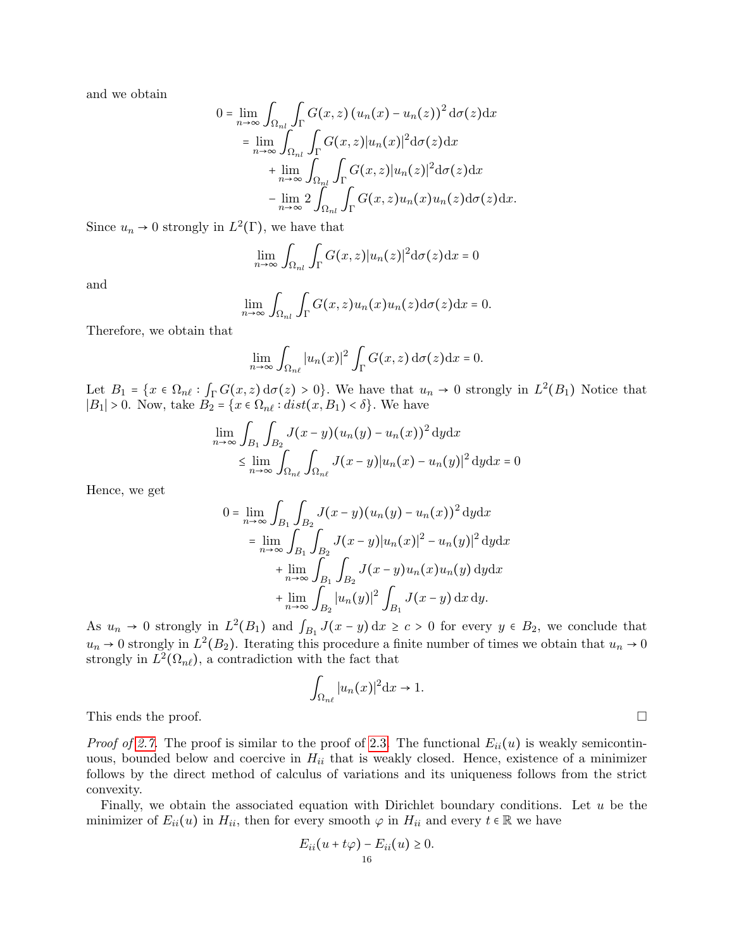and we obtain

$$
0 = \lim_{n \to \infty} \int_{\Omega_{nl}} \int_{\Gamma} G(x, z) (u_n(x) - u_n(z))^2 d\sigma(z) dx
$$
  
\n
$$
= \lim_{n \to \infty} \int_{\Omega_{nl}} \int_{\Gamma} G(x, z) |u_n(x)|^2 d\sigma(z) dx
$$
  
\n
$$
+ \lim_{n \to \infty} \int_{\Omega_{nl}} \int_{\Gamma} G(x, z) |u_n(z)|^2 d\sigma(z) dx
$$
  
\n
$$
- \lim_{n \to \infty} 2 \int_{\Omega_{nl}} \int_{\Gamma} G(x, z) u_n(x) u_n(z) d\sigma(z) dx.
$$

Since  $u_n \to 0$  strongly in  $L^2(\Gamma)$ , we have that

$$
\lim_{n \to \infty} \int_{\Omega_{nl}} \int_{\Gamma} G(x, z) |u_n(z)|^2 d\sigma(z) dx = 0
$$

and

$$
\lim_{n\to\infty}\int_{\Omega_{nl}}\int_{\Gamma}G(x,z)u_n(x)u_n(z)\mathrm{d}\sigma(z)\mathrm{d}x=0.
$$

Therefore, we obtain that

$$
\lim_{n\to\infty}\int_{\Omega_{n\ell}}|u_n(x)|^2\int_{\Gamma}G(x,z)\,\mathrm{d}\sigma(z)\mathrm{d}x=0.
$$

Let  $B_1 = \{x \in \Omega_{n\ell} : \int_{\Gamma} G(x, z) d\sigma(z) > 0\}$ . We have that  $u_n \to 0$  strongly in  $L^2(B_1)$  Notice that  $|B_1| > 0$ . Now, take  $B_2 = \{x \in \Omega_{n\ell} : dist(x, B_1) < \delta\}$ . We have

$$
\lim_{n \to \infty} \int_{B_1} \int_{B_2} J(x - y)(u_n(y) - u_n(x))^2 \, dy \, dx
$$
\n
$$
\leq \lim_{n \to \infty} \int_{\Omega_{n\ell}} \int_{\Omega_{n\ell}} J(x - y) |u_n(x) - u_n(y)|^2 \, dy \, dx = 0
$$

Hence, we get

$$
0 = \lim_{n \to \infty} \int_{B_1} \int_{B_2} J(x - y) (u_n(y) - u_n(x))^2 \, dy \, dx
$$
  
\n
$$
= \lim_{n \to \infty} \int_{B_1} \int_{B_2} J(x - y) |u_n(x)|^2 - u_n(y)|^2 \, dy \, dx
$$
  
\n
$$
+ \lim_{n \to \infty} \int_{B_1} \int_{B_2} J(x - y) u_n(x) u_n(y) \, dy \, dx
$$
  
\n
$$
+ \lim_{n \to \infty} \int_{B_2} |u_n(y)|^2 \int_{B_1} J(x - y) \, dx \, dy.
$$

As  $u_n \to 0$  strongly in  $L^2(B_1)$  and  $\int_{B_1} J(x-y) dx \ge c > 0$  for every  $y \in B_2$ , we conclude that  $u_n \to 0$  strongly in  $L^2(B_2)$ . Iterating this procedure a finite number of times we obtain that  $u_n \to 0$ strongly in  $L^2(\Omega_{n\ell})$ , a contradiction with the fact that

$$
\int_{\Omega_{n\ell}} |u_n(x)|^2 \mathrm{d}x \to 1.
$$

This ends the proof.  $\Box$ 

*Proof of [2.7.](#page-5-0)* The proof is similar to the proof of [2.3.](#page-4-2) The functional  $E_{ii}(u)$  is weakly semicontinuous, bounded below and coercive in  $H_{ii}$  that is weakly closed. Hence, existence of a minimizer follows by the direct method of calculus of variations and its uniqueness follows from the strict convexity.

Finally, we obtain the associated equation with Dirichlet boundary conditions. Let  $u$  be the minimizer of  $E_{ii}(u)$  in  $H_{ii}$ , then for every smooth  $\varphi$  in  $H_{ii}$  and every  $t \in \mathbb{R}$  we have

$$
E_{ii}(u+t\varphi) - E_{ii}(u) \geq 0.
$$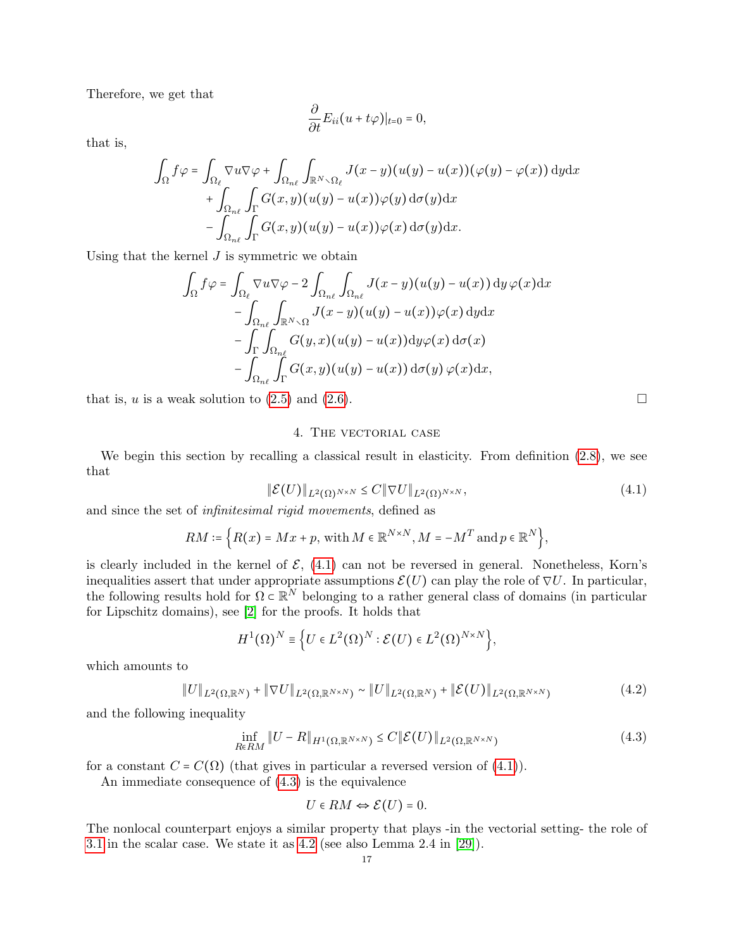Therefore, we get that

$$
\frac{\partial}{\partial t}E_{ii}(u+t\varphi)|_{t=0}=0,
$$

that is,

$$
\int_{\Omega} f \varphi = \int_{\Omega_{\ell}} \nabla u \nabla \varphi + \int_{\Omega_{n\ell}} \int_{\mathbb{R}^{N} \setminus \Omega_{\ell}} J(x - y) (u(y) - u(x)) (\varphi(y) - \varphi(x)) \, dy \, dx \n+ \int_{\Omega_{n\ell}} \int_{\Gamma} G(x, y) (u(y) - u(x)) \varphi(y) \, d\sigma(y) \, dx \n- \int_{\Omega_{n\ell}} \int_{\Gamma} G(x, y) (u(y) - u(x)) \varphi(x) \, d\sigma(y) \, dx.
$$

Using that the kernel  $J$  is symmetric we obtain

$$
\int_{\Omega} f \varphi = \int_{\Omega_{\ell}} \nabla u \nabla \varphi - 2 \int_{\Omega_{n\ell}} \int_{\Omega_{n\ell}} J(x - y) (u(y) - u(x)) dy \varphi(x) dx \n- \int_{\Omega_{n\ell}} \int_{\mathbb{R}^N \setminus \Omega} J(x - y) (u(y) - u(x)) \varphi(x) dy dx \n- \int_{\Gamma} \int_{\Omega_{n\ell}} G(y, x) (u(y) - u(x)) dy \varphi(x) d\sigma(x) \n- \int_{\Omega_{n\ell}} \int_{\Gamma} G(x, y) (u(y) - u(x)) d\sigma(y) \varphi(x) dx,
$$

that is, u is a weak solution to [\(2.5\)](#page-5-1) and [\(2.6\)](#page-6-1).

#### 4. The vectorial case

<span id="page-16-0"></span>We begin this section by recalling a classical result in elasticity. From definition [\(2.8\)](#page-6-2), we see that

$$
\|\mathcal{E}(U)\|_{L^2(\Omega)^{N\times N}} \leq C \|\nabla U\|_{L^2(\Omega)^{N\times N}},\tag{4.1}
$$

and since the set of infinitesimal rigid movements, defined as

$$
RM \coloneqq \left\{ R(x) = Mx + p, \text{ with } M \in \mathbb{R}^{N \times N}, M = -M^T \text{ and } p \in \mathbb{R}^N \right\},\
$$

is clearly included in the kernel of  $\mathcal{E}$ , [\(4.1\)](#page-16-1) can not be reversed in general. Nonetheless, Korn's inequalities assert that under appropriate assumptions  $\mathcal{E}(U)$  can play the role of  $\nabla U$ . In particular, the following results hold for  $\Omega \subset \mathbb{R}^N$  belonging to a rather general class of domains (in particular for Lingglitz dependence) as [9] for the present Lingglitz dependence of  $\Omega$ for Lipschitz domains), see [\[2\]](#page-28-6) for the proofs. It holds that

$$
H^1(\Omega)^N \equiv \Big\{ U \in L^2(\Omega)^N : \mathcal{E}(U) \in L^2(\Omega)^{N \times N} \Big\},\
$$

which amounts to

$$
||U||_{L^{2}(\Omega,\mathbb{R}^{N})} + ||\nabla U||_{L^{2}(\Omega,\mathbb{R}^{N\times N})} \sim ||U||_{L^{2}(\Omega,\mathbb{R}^{N})} + ||\mathcal{E}(U)||_{L^{2}(\Omega,\mathbb{R}^{N\times N})}
$$
(4.2)

and the following inequality

$$
\inf_{R \in RM} \|U - R\|_{H^1(\Omega, \mathbb{R}^{N \times N})} \le C \|\mathcal{E}(U)\|_{L^2(\Omega, \mathbb{R}^{N \times N})}
$$
\n(4.3)

for a constant  $C = C(\Omega)$  (that gives in particular a reversed version of [\(4.1\)](#page-16-1)).

An immediate consequence of [\(4.3\)](#page-16-2) is the equivalence

<span id="page-16-2"></span>
$$
U \in RM \Leftrightarrow \mathcal{E}(U) = 0.
$$

The nonlocal counterpart enjoys a similar property that plays -in the vectorial setting- the role of [3.1](#page-8-1) in the scalar case. We state it as [4.2](#page-18-0) (see also Lemma 2.4 in [\[29\]](#page-29-10)).

<span id="page-16-3"></span><span id="page-16-1"></span>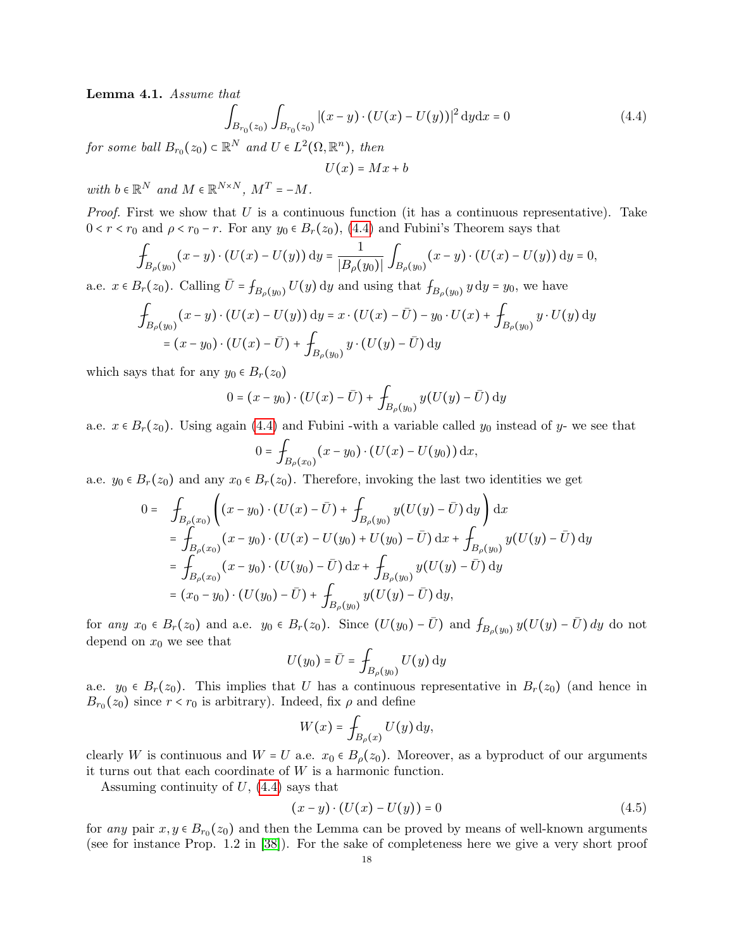<span id="page-17-2"></span>Lemma 4.1. Assume that

$$
\int_{B_{r_0}(z_0)} \int_{B_{r_0}(z_0)} |(x-y) \cdot (U(x) - U(y))|^2 dy dx = 0
$$
\n(4.4)

for some ball  $B_{r_0}(z_0) \subset \mathbb{R}^N$  and  $U \in L^2(\Omega, \mathbb{R}^n)$ , then

<span id="page-17-0"></span>
$$
U(x) = Mx + b
$$

with  $b \in \mathbb{R}^N$  and  $M \in \mathbb{R}^{N \times N}$ ,  $M^T = -M$ .

*Proof.* First we show that U is a continuous function (it has a continuous representative). Take  $0 < r < r_0$  and  $\rho < r_0 - r$ . For any  $y_0 \in B_r(z_0)$ , [\(4.4\)](#page-17-0) and Fubini's Theorem says that

$$
\int_{B_{\rho}(y_0)} (x - y) \cdot (U(x) - U(y)) \, dy = \frac{1}{|B_{\rho}(y_0)|} \int_{B_{\rho}(y_0)} (x - y) \cdot (U(x) - U(y)) \, dy = 0,
$$

a.e.  $x \in B_r(z_0)$ . Calling  $\overline{U} = f_{B_\rho(y_0)} U(y)$  dy and using that  $f_{B_\rho(y_0)} y \, dy = y_0$ , we have

$$
\int_{B_{\rho}(y_0)} (x - y) \cdot (U(x) - U(y)) \, dy = x \cdot (U(x) - \bar{U}) - y_0 \cdot U(x) + \int_{B_{\rho}(y_0)} y \cdot U(y) \, dy
$$
\n
$$
= (x - y_0) \cdot (U(x) - \bar{U}) + \int_{B_{\rho}(y_0)} y \cdot (U(y) - \bar{U}) \, dy
$$

which says that for any  $y_0 \in B_r(z_0)$ 

$$
0 = (x - y_0) \cdot (U(x) - \bar{U}) + \int_{B_{\rho}(y_0)} y(U(y) - \bar{U}) \, dy
$$

a.e.  $x \in B_r(z_0)$ . Using again [\(4.4\)](#page-17-0) and Fubini -with a variable called  $y_0$  instead of y- we see that

$$
0 = \int_{B_{\rho}(x_0)} (x - y_0) \cdot (U(x) - U(y_0)) \,dx,
$$

a.e.  $y_0 \in B_r(z_0)$  and any  $x_0 \in B_r(z_0)$ . Therefore, invoking the last two identities we get

$$
0 = \int_{B_{\rho}(x_0)} \left( (x - y_0) \cdot (U(x) - \bar{U}) + \int_{B_{\rho}(y_0)} y(U(y) - \bar{U}) \, dy \right) dx
$$
  
\n
$$
= \int_{B_{\rho}(x_0)} (x - y_0) \cdot (U(x) - U(y_0) + U(y_0) - \bar{U}) \, dx + \int_{B_{\rho}(y_0)} y(U(y) - \bar{U}) \, dy
$$
  
\n
$$
= \int_{B_{\rho}(x_0)} (x - y_0) \cdot (U(y_0) - \bar{U}) \, dx + \int_{B_{\rho}(y_0)} y(U(y) - \bar{U}) \, dy
$$
  
\n
$$
= (x_0 - y_0) \cdot (U(y_0) - \bar{U}) + \int_{B_{\rho}(y_0)} y(U(y) - \bar{U}) \, dy,
$$

for any  $x_0 \in B_r(z_0)$  and a.e.  $y_0 \in B_r(z_0)$ . Since  $(U(y_0) - \overline{U})$  and  $f_{B_\rho(y_0)} y(U(y) - \overline{U}) dy$  do not depend on  $x_0$  we see that

$$
U(y_0) = \bar{U} = \int_{B_{\rho}(y_0)} U(y) \, \mathrm{d}y
$$

a.e.  $y_0 \in B_r(z_0)$ . This implies that U has a continuous representative in  $B_r(z_0)$  (and hence in  $B_{r_0}(z_0)$  since  $r < r_0$  is arbitrary). Indeed, fix  $\rho$  and define

$$
W(x) = \int_{B_{\rho}(x)} U(y) \, dy,
$$

clearly W is continuous and  $W = U$  a.e.  $x_0 \in B_\rho(z_0)$ . Moreover, as a byproduct of our arguments it turns out that each coordinate of W is a harmonic function.

Assuming continuity of  $U$ ,  $(4.4)$  says that

<span id="page-17-1"></span>
$$
(x - y) \cdot (U(x) - U(y)) = 0 \tag{4.5}
$$

for any pair  $x, y \in B_{r_0}(z_0)$  and then the Lemma can be proved by means of well-known arguments (see for instance Prop. 1.2 in [\[38\]](#page-30-10)). For the sake of completeness here we give a very short proof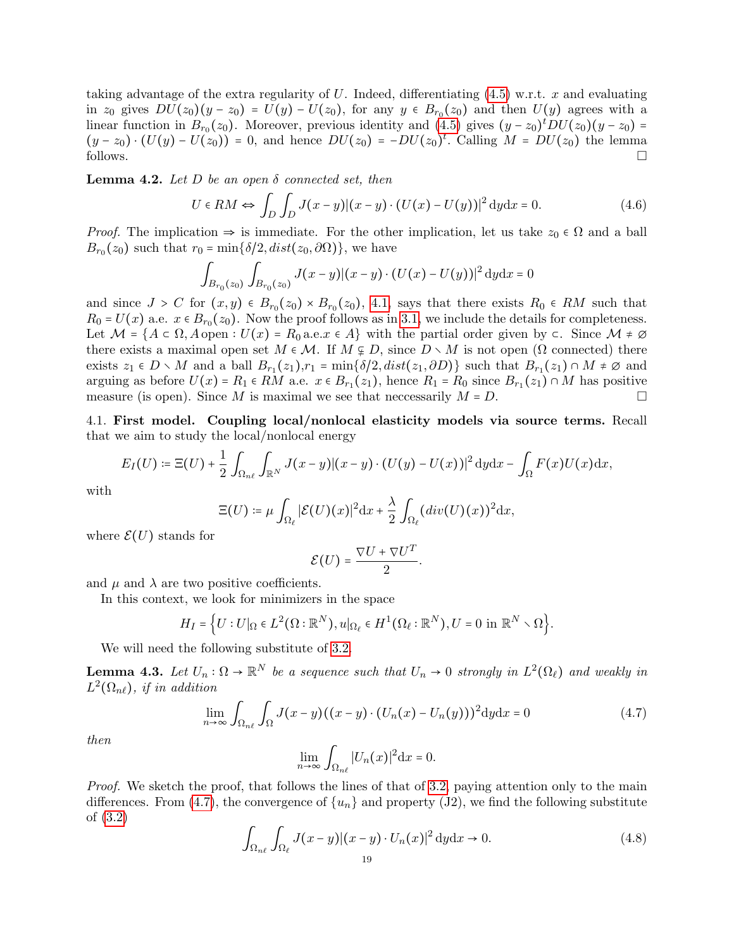taking advantage of the extra regularity of U. Indeed, differentiating  $(4.5)$  w.r.t. x and evaluating in  $z_0$  gives  $DU(z_0)(y - z_0) = U(y) - U(z_0)$ , for any  $y \in B_{r_0}(z_0)$  and then  $U(y)$  agrees with a linear function in  $B_r(x)$ . Moreover, provising identity and  $(A_0^r)$  gives  $(x, y, b)$   $UL(x, y, c)$ linear function in  $B_{r_0}(z_0)$ . Moreover, previous identity and [\(4.5\)](#page-17-1) gives  $(y-z_0)^tDU(z_0)(y-z_0) =$  $(y - z_0) \cdot (U(y) - U(z_0)) = 0$ , and hence  $DU(z_0) = -DU(z_0)^t$ . Calling  $M = DU(z_0)$  the lemma follows.

<span id="page-18-0"></span>**Lemma 4.2.** Let D be an open  $\delta$  connected set, then

$$
U \in RM \Leftrightarrow \int_D \int_D J(x-y) |(x-y) \cdot (U(x) - U(y))|^2 \, dy \, dx = 0. \tag{4.6}
$$

*Proof.* The implication  $\Rightarrow$  is immediate. For the other implication, let us take  $z_0 \in \Omega$  and a ball  $B_{r_0}(z_0)$  such that  $r_0 = \min{\{\delta/2, dist(z_0, \partial \Omega)\}}$ , we have

<span id="page-18-3"></span>
$$
\int_{B_{r_0}(z_0)} \int_{B_{r_0}(z_0)} J(x-y) |(x-y) \cdot (U(x) - U(y))|^2 dy dx = 0
$$

and since  $J > C$  for  $(x, y) \in B_{r_0}(z_0) \times B_{r_0}(z_0)$ , [4.1,](#page-17-2) says that there exists  $R_0 \in RM$  such that  $R_0 = U(x)$  a.e.  $x \in B_{r_0}(z_0)$ . Now the proof follows as in [3.1,](#page-8-1) we include the details for completeness. Let  $\mathcal{M} = \{A \subset \Omega, A \text{ open} : U(x) = R_0 \text{ a.e. } x \in A\}$  with the partial order given by  $\subset$ . Since  $\mathcal{M} \neq \emptyset$ there exists a maximal open set  $M \in \mathcal{M}$ . If  $M \nsubseteq D$ , since  $D \setminus M$  is not open  $(\Omega$  connected) there exists  $z_1 \in D \setminus M$  and a ball  $B_{r_1}(z_1), r_1 = \min\{\delta/2, dist(z_1, \partial D)\}\)$  such that  $B_{r_1}(z_1) \cap M \neq \emptyset$  and arguing as before  $U(x) = R_1 \in \overline{RM}$  a.e.  $x \in B_{r_1}(z_1)$ , hence  $R_1 = R_0$  since  $B_{r_1}(z_1) \cap M$  has positive measure (is open). Since M is maximal we see that necessarily  $M = D$ .

4.1. First model. Coupling local/nonlocal elasticity models via source terms. Recall that we aim to study the local/nonlocal energy

$$
E_I(U) \coloneqq \Xi(U) + \frac{1}{2} \int_{\Omega_{n\ell}} \int_{\mathbb{R}^N} J(x-y) |(x-y) \cdot (U(y) - U(x))|^2 \, \mathrm{d}y \mathrm{d}x - \int_{\Omega} F(x) U(x) \mathrm{d}x,
$$

with

$$
\Xi(U) \coloneqq \mu \int_{\Omega_{\ell}} |\mathcal{E}(U)(x)|^2 \mathrm{d}x + \frac{\lambda}{2} \int_{\Omega_{\ell}} (div(U)(x))^2 \mathrm{d}x,
$$

where  $\mathcal{E}(U)$  stands for

$$
\mathcal{E}(U) = \frac{\nabla U + \nabla U^T}{2}.
$$

and  $\mu$  and  $\lambda$  are two positive coefficients.

In this context, we look for minimizers in the space

$$
H_I = \Big\{ U : U|_{\Omega} \in L^2(\Omega : \mathbb{R}^N), u|_{\Omega_{\ell}} \in H^1(\Omega_{\ell} : \mathbb{R}^N), U = 0 \text{ in } \mathbb{R}^N \setminus \Omega \Big\}.
$$

We will need the following substitute of [3.2.](#page-9-3)

<span id="page-18-4"></span>**Lemma 4.3.** Let  $U_n : \Omega \to \mathbb{R}^N$  be a sequence such that  $U_n \to 0$  strongly in  $L^2(\Omega_\ell)$  and weakly in  $L^2(\Omega_{n\ell})$ , if in addition

$$
\lim_{n \to \infty} \int_{\Omega_{n\ell}} \int_{\Omega} J(x - y) ((x - y) \cdot (U_n(x) - U_n(y)))^2 \mathrm{d}y \mathrm{d}x = 0 \tag{4.7}
$$

then

<span id="page-18-2"></span><span id="page-18-1"></span>
$$
\lim_{n\to\infty}\int_{\Omega_{n\ell}}|U_n(x)|^2\mathrm{d}x=0.
$$

Proof. We sketch the proof, that follows the lines of that of [3.2,](#page-9-3) paying attention only to the main differences. From [\(4.7\)](#page-18-1), the convergence of  $\{u_n\}$  and property (J2), we find the following substitute of [\(3.2\)](#page-9-1)

$$
\int_{\Omega_{n\ell}} \int_{\Omega_{\ell}} J(x-y) |(x-y) \cdot U_n(x)|^2 dy dx \to 0.
$$
\n(4.8)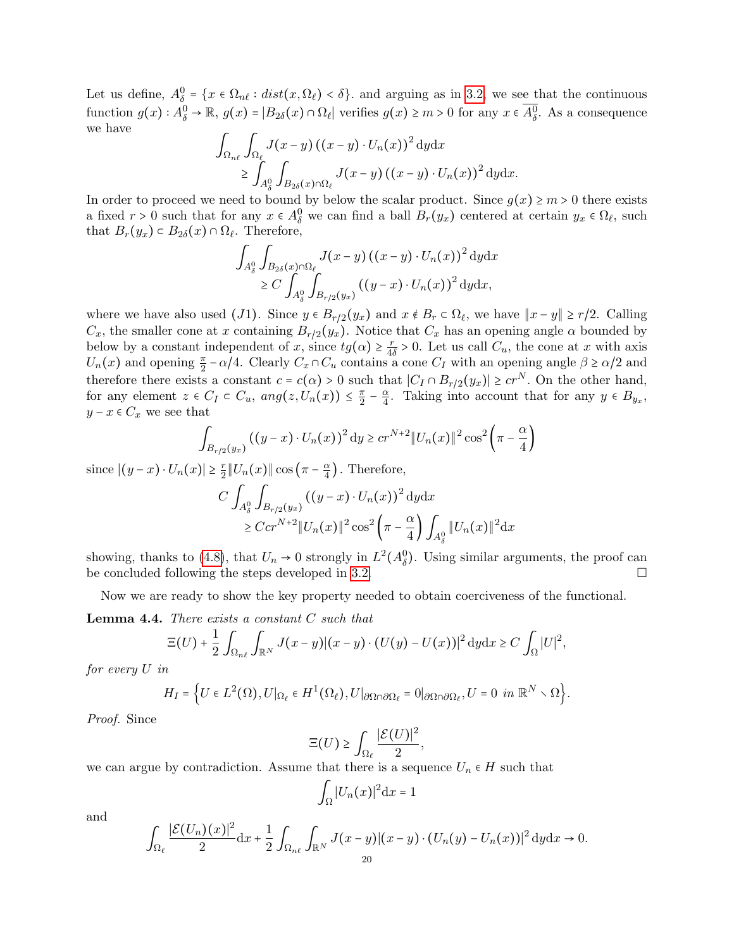Let us define,  $A_{\theta}^0 = \{x \in \Omega_{n\ell} : dist(x, \Omega_{\ell}) < \delta\}$  and arguing as in [3.2,](#page-9-3) we see that the continuous function  $g(x) : A_{\delta}^0 \to \mathbb{R}$ ,  $g(x) = |B_{2\delta}(x) \cap \Omega_{\ell}|$  verifies  $g(x) \ge m > 0$  for any  $x \in \overline{A_{\delta}^0}$ . As a consequence we have

$$
\int_{\Omega_{n\ell}} \int_{\Omega_{\ell}} J(x-y) ((x-y) \cdot U_n(x))^2 dy dx
$$
  
\n
$$
\geq \int_{A_\delta^0} \int_{B_{2\delta}(x) \cap \Omega_{\ell}} J(x-y) ((x-y) \cdot U_n(x))^2 dy dx.
$$

In order to proceed we need to bound by below the scalar product. Since  $g(x) \ge m > 0$  there exists a fixed  $r > 0$  such that for any  $x \in A_0^0$  we can find a ball  $B_r(y_x)$  centered at certain  $y_x \in \Omega_\ell$ , such that  $B_r(y_x) \subset B_{2\delta}(x) \cap \Omega_{\ell}$ . Therefore,

$$
\int_{A_{\delta}^{0}} \int_{B_{2\delta}(x)\cap\Omega_{\ell}} J(x-y) ((x-y) \cdot U_{n}(x))^{2} dy dx
$$
  
\n
$$
\geq C \int_{A_{\delta}^{0}} \int_{B_{r/2}(y_{x})} ((y-x) \cdot U_{n}(x))^{2} dy dx,
$$

where we have also used (J1). Since  $y \in B_{r/2}(y_x)$  and  $x \notin B_r \subset \Omega_\ell$ , we have  $||x - y|| \ge r/2$ . Calling  $G$ , the modulus series to contribute  $B_r$  (w). Notice that  $G$  has an anoming surface is an anominated because  $C_x$ , the smaller cone at x containing  $B_{r/2}(y_x)$ . Notice that  $C_x$  has an opening angle  $\alpha$  bounded by below by a constant independent of x, since  $tg(\alpha) \geq \frac{r}{4c}$  $\frac{r}{4\delta} > 0$ . Let us call  $C_u$ , the cone at x with axis  $U_n(x)$  and opening  $\frac{\pi}{2} - \alpha/4$ . Clearly  $C_x \cap C_u$  contains a cone  $C_I$  with an opening angle  $\beta \ge \alpha/2$  and therefore there exists a constant  $c = c(\alpha) > 0$  such that  $|C_I \cap B_{r/2}(y_x)| \geq c r^N$ . On the other hand, for any element  $z \in C_I \subset C_u$ ,  $ang(z, U_n(x)) \leq \frac{\pi}{2}$  $\frac{\pi}{2} - \frac{\alpha}{4}$  $\frac{\alpha}{4}$ . Taking into account that for any  $y \in B_{y_x}$ ,  $y - x \in C_x$  we see that

$$
\int_{B_{r/2}(y_x)} ((y-x) \cdot U_n(x))^2 dy \geq c r^{N+2} ||U_n(x)||^2 \cos^2 \left(\pi - \frac{\alpha}{4}\right)
$$

since  $|(y-x) \cdot U_n(x)| \geq \frac{r}{2}$  $\frac{r}{2}||U_n(x)||\cos\left(\pi-\frac{\alpha}{4}\right)$  $\frac{\alpha}{4}$ ). Therefore,

$$
C \int_{A_\delta^0} \int_{B_{r/2}(y_x)} ((y-x) \cdot U_n(x))^2 \, dydx
$$
  
\n
$$
\geq C c r^{N+2} \|U_n(x)\|^2 \cos^2\left(\pi - \frac{\alpha}{4}\right) \int_{A_\delta^0} \|U_n(x)\|^2 dx
$$

showing, thanks to [\(4.8\)](#page-18-2), that  $U_n \to 0$  strongly in  $L^2(A_\delta^0)$ . Using similar arguments, the proof can be concluded following the steps developed in [3.2.](#page-9-3)  $\Box$ 

Now we are ready to show the key property needed to obtain coerciveness of the functional.

**Lemma 4.4.** There exists a constant  $C$  such that

$$
\Xi(U) + \frac{1}{2} \int_{\Omega_{n\ell}} \int_{\mathbb{R}^N} J(x - y) |(x - y) \cdot (U(y) - U(x))|^2 \, \mathrm{d}y \mathrm{d}x \ge C \int_{\Omega} |U|^2,
$$

for every U in

$$
H_I=\Big\{U\in L^2\big(\Omega\big), U\big|\Omega_\ell\in H^1\big(\Omega_\ell\big), U\big|\partial\Omega\cap\partial\Omega_\ell=0\big|\partial\Omega\cap\partial\Omega_\ell, U=0\ in\ {\mathbb R}^N\smallsetminus\Omega\Big\}.
$$

Proof. Since

$$
\Xi(U) \ge \int_{\Omega_{\ell}} \frac{|\mathcal{E}(U)|^2}{2},
$$

we can argue by contradiction. Assume that there is a sequence  $U_n \in H$  such that

$$
\int_{\Omega} |U_n(x)|^2 \mathrm{d}x = 1
$$

and

$$
\int_{\Omega_{\ell}} \frac{|\mathcal{E}(U_n)(x)|^2}{2} \mathrm{d}x + \frac{1}{2} \int_{\Omega_{n\ell}} \int_{\mathbb{R}^N} J(x-y) |(x-y) \cdot (U_n(y) - U_n(x))|^2 \mathrm{d}y \mathrm{d}x \to 0.
$$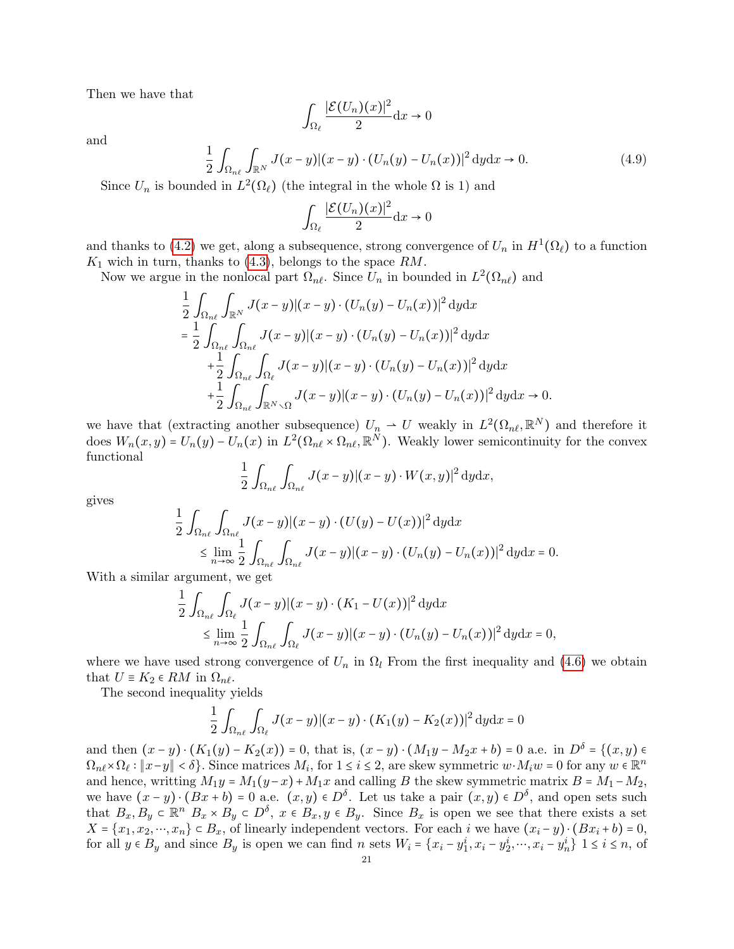Then we have that

<span id="page-20-0"></span>
$$
\int_{\Omega_{\ell}} \frac{|\mathcal{E}(U_n)(x)|^2}{2} \mathrm{d}x \to 0
$$

and

$$
\frac{1}{2} \int_{\Omega_{n\ell}} \int_{\mathbb{R}^N} J(x - y) |(x - y) \cdot (U_n(y) - U_n(x))|^2 \, \mathrm{d}y \mathrm{d}x \to 0. \tag{4.9}
$$

Since  $U_n$  is bounded in  $L^2(\Omega_\ell)$  (the integral in the whole  $\Omega$  is 1) and

$$
\int_{\Omega_{\ell}} \frac{|\mathcal{E}(U_n)(x)|^2}{2} \mathrm{d}x \to 0
$$

and thanks to [\(4.2\)](#page-16-3) we get, along a subsequence, strong convergence of  $U_n$  in  $H^1(\Omega_\ell)$  to a function  $K_1$  wich in turn, thanks to [\(4.3\)](#page-16-2), belongs to the space  $RM$ .

Now we argue in the nonlocal part  $\Omega_{n\ell}$ . Since  $U_n$  in bounded in  $L^2(\Omega_{n\ell})$  and

$$
\frac{1}{2} \int_{\Omega_{n\ell}} \int_{\mathbb{R}^N} J(x-y) |(x-y) \cdot (U_n(y) - U_n(x))|^2 \, dy \, dx
$$
\n
$$
= \frac{1}{2} \int_{\Omega_{n\ell}} \int_{\Omega_{n\ell}} J(x-y) |(x-y) \cdot (U_n(y) - U_n(x))|^2 \, dy \, dx
$$
\n
$$
+ \frac{1}{2} \int_{\Omega_{n\ell}} \int_{\Omega_{\ell}} J(x-y) |(x-y) \cdot (U_n(y) - U_n(x))|^2 \, dy \, dx
$$
\n
$$
+ \frac{1}{2} \int_{\Omega_{n\ell}} \int_{\mathbb{R}^N \times \Omega} J(x-y) |(x-y) \cdot (U_n(y) - U_n(x))|^2 \, dy \, dx \to 0.
$$

we have that (extracting another subsequence)  $U_n \rightharpoonup U$  weakly in  $L^2(\Omega_{n\ell}, \mathbb{R}^N)$  and therefore it does  $W_n(x, y) = U_n(y) - U_n(x)$  in  $L^2(\Omega_{n\ell} \times \Omega_{n\ell}, \mathbb{R}^N)$ . Weakly lower semicontinuity for the convex functional

$$
\frac{1}{2}\int_{\Omega_{n\ell}}\int_{\Omega_{n\ell}}J(x-y)|(x-y)\cdot W(x,y)|^2\,\mathrm{d}y\mathrm{d}x,
$$

gives

$$
\frac{1}{2} \int_{\Omega_{n\ell}} \int_{\Omega_{n\ell}} J(x-y) |(x-y) \cdot (U(y) - U(x))|^2 dy dx
$$
\n
$$
\leq \lim_{n \to \infty} \frac{1}{2} \int_{\Omega_{n\ell}} \int_{\Omega_{n\ell}} J(x-y) |(x-y) \cdot (U_n(y) - U_n(x))|^2 dy dx = 0.
$$

With a similar argument, we get

$$
\frac{1}{2} \int_{\Omega_{n\ell}} \int_{\Omega_{\ell}} J(x-y) |(x-y) \cdot (K_1 - U(x))|^2 dy dx
$$
\n
$$
\leq \lim_{n \to \infty} \frac{1}{2} \int_{\Omega_{n\ell}} \int_{\Omega_{\ell}} J(x-y) |(x-y) \cdot (U_n(y) - U_n(x))|^2 dy dx = 0,
$$

where we have used strong convergence of  $U_n$  in  $\Omega_l$  From the first inequality and [\(4.6\)](#page-18-3) we obtain that  $U \equiv K_2 \in RM$  in  $\Omega_{n\ell}$ .

The second inequality yields

$$
\frac{1}{2}\int_{\Omega_{n\ell}}\int_{\Omega_{\ell}}J(x-y)|(x-y)\cdot (K_1(y)-K_2(x))|^2\,\mathrm{d}y\mathrm{d}x=0
$$

and then  $(x - y) \cdot (K_1(y) - K_2(x)) = 0$ , that is,  $(x - y) \cdot (M_1y - M_2x + b) = 0$  a.e. in  $D^{\delta} = \{(x, y) \in$  $\Omega_{n\ell} \times \Omega_{\ell} : ||x-y|| < \delta$ . Since matrices  $M_i$ , for  $1 \le i \le 2$ , are skew symmetric  $w \cdot M_iw = 0$  for any  $w \in \mathbb{R}^n$ and hence, writting  $M_1y = M_1(y-x) + M_1x$  and calling B the skew symmetric matrix  $B = M_1 - M_2$ , we have  $(x - y) \cdot (Bx + b) = 0$  a.e.  $(x, y) \in D^{\delta}$ . Let us take a pair  $(x, y) \in D^{\delta}$ , and open sets such that  $B_x, B_y \in \mathbb{R}^n$   $B_x \times B_y \in D^{\delta}$ ,  $x \in B_x, y \in B_y$ . Since  $B_x$  is open we see that there exists a set  $X = \{x_1, x_2, \dots, x_n\} \subset B_x$ , of linearly independent vectors. For each i we have  $(x_i - y) \cdot (Bx_i + b) = 0$ , for all  $y \in B_y$  and since  $B_y$  is open we can find n sets  $W_i = \{x_i - y_1^i, x_i - y_2^i, \dots, x_i - y_n^i\}$   $1 \le i \le n$ , of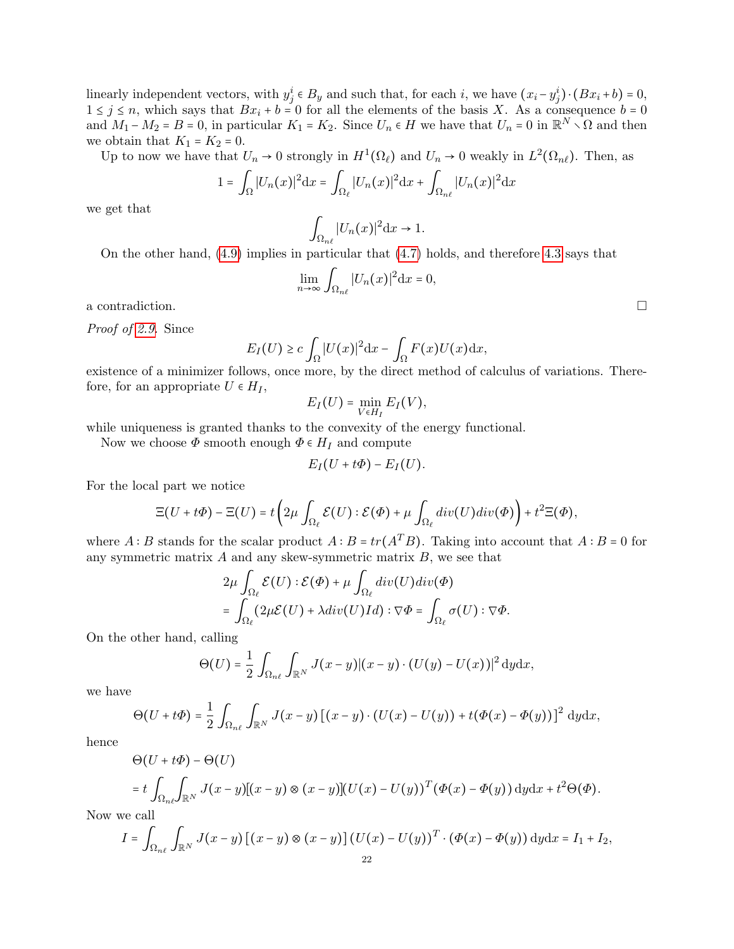linearly independent vectors, with  $y_j^i \in B_y$  and such that, for each i, we have  $(x_i - y_j^i) \cdot (Bx_i + b) = 0$ ,  $1 \leq j \leq n$ , which says that  $Bx_i + b = 0$  for all the elements of the basis X. As a consequence  $b = 0$ and  $M_1 - M_2 = B = 0$ , in particular  $K_1 = K_2$ . Since  $U_n \in H$  we have that  $U_n = 0$  in  $\mathbb{R}^N \setminus \Omega$  and then we obtain that  $K_1 = K_2 = 0$ .

Up to now we have that  $U_n \to 0$  strongly in  $H^1(\Omega_\ell)$  and  $U_n \to 0$  weakly in  $L^2(\Omega_{n\ell})$ . Then, as

$$
1 = \int_{\Omega} |U_n(x)|^2 dx = \int_{\Omega_{\ell}} |U_n(x)|^2 dx + \int_{\Omega_{n\ell}} |U_n(x)|^2 dx
$$

we get that

$$
\int_{\Omega_{n\ell}} |U_n(x)|^2 \mathrm{d}x \to 1.
$$

On the other hand, [\(4.9\)](#page-20-0) implies in particular that [\(4.7\)](#page-18-1) holds, and therefore [4.3](#page-18-4) says that

$$
\lim_{n \to \infty} \int_{\Omega_{n\ell}} |U_n(x)|^2 \mathrm{d}x = 0,
$$

a contradiction.

Proof of [2.9.](#page-7-0) Since

$$
E_I(U) \ge c \int_{\Omega} |U(x)|^2 dx - \int_{\Omega} F(x)U(x) dx,
$$

existence of a minimizer follows, once more, by the direct method of calculus of variations. Therefore, for an appropriate  $U \in H_I$ ,

$$
E_I(U)=\min_{V\in H_I}E_I(V),
$$

while uniqueness is granted thanks to the convexity of the energy functional.

Now we choose  $\Phi$  smooth enough  $\Phi \in H_I$  and compute

$$
E_I(U+t\Phi)-E_I(U).
$$

For the local part we notice

$$
\Xi(U+t\Phi)-\Xi(U)=t\left(2\mu\int_{\Omega_{\ell}}\mathcal{E}(U):\mathcal{E}(\Phi)+\mu\int_{\Omega_{\ell}}div(U)div(\Phi)\right)+t^2\Xi(\Phi),
$$

where A ∶ B stands for the scalar product  $A : B = tr(A^T B)$ . Taking into account that  $A : B = 0$  for any symmetric matrix  $A$  and any skew-symmetric matrix  $B$ , we see that

$$
2\mu \int_{\Omega_{\ell}} \mathcal{E}(U) : \mathcal{E}(\Phi) + \mu \int_{\Omega_{\ell}} div(U)div(\Phi)
$$
  
= 
$$
\int_{\Omega_{\ell}} (2\mu \mathcal{E}(U) + \lambda div(U)Id) : \nabla \Phi = \int_{\Omega_{\ell}} \sigma(U) : \nabla \Phi.
$$

On the other hand, calling

$$
\Theta(U) = \frac{1}{2} \int_{\Omega_{n\ell}} \int_{\mathbb{R}^N} J(x - y) |(x - y) \cdot (U(y) - U(x))|^2 \, dy \, dx,
$$

we have

$$
\Theta(U+t\Phi)=\frac{1}{2}\int_{\Omega_{n\ell}}\int_{\mathbb{R}^N}J(x-y)\left[(x-y)\cdot(U(x)-U(y))+t(\Phi(x)-\Phi(y))\right]^2\,\mathrm{d}y\mathrm{d}x,
$$

hence

$$
\Theta(U+t\Phi) - \Theta(U)
$$
  
=  $t \int_{\Omega_{n\ell}} \int_{\mathbb{R}^N} J(x-y) [(x-y) \otimes (x-y)] (U(x) - U(y))^{T} (\Phi(x) - \Phi(y)) \, dy dx + t^2 \Theta(\Phi).$ 

Now we call

$$
I = \int_{\Omega_{n\ell}} \int_{\mathbb{R}^N} J(x - y) \left[ (x - y) \otimes (x - y) \right] (U(x) - U(y))^T \cdot (\Phi(x) - \Phi(y)) \, dy \, dx = I_1 + I_2,
$$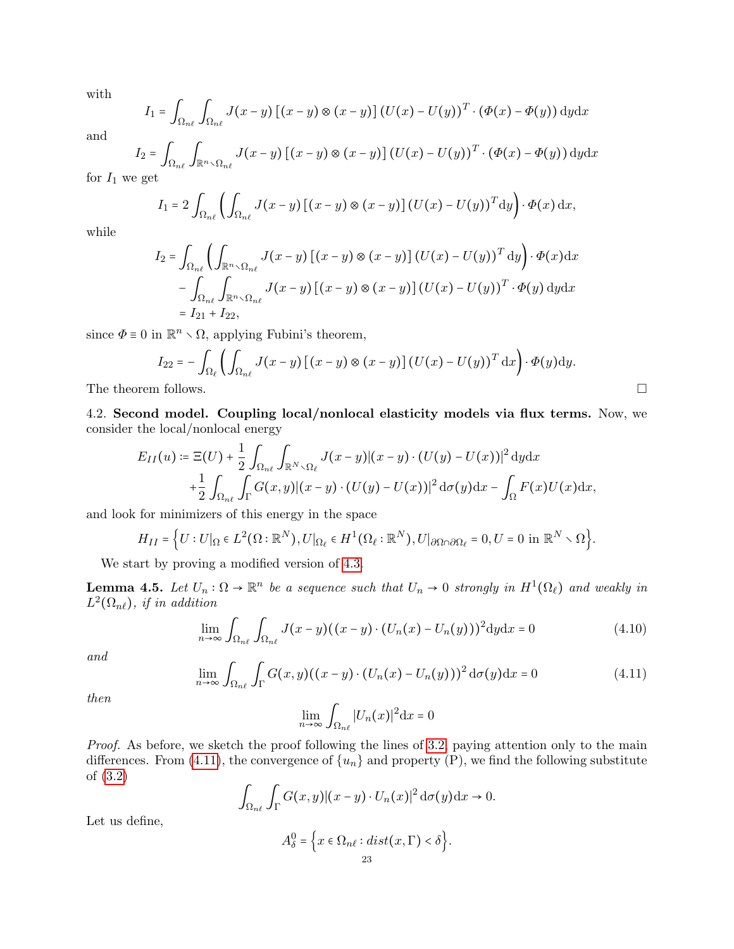with

$$
I_1 = \int_{\Omega_{n\ell}} \int_{\Omega_{n\ell}} J(x - y) \left[ (x - y) \otimes (x - y) \right] (U(x) - U(y))^T \cdot (\Phi(x) - \Phi(y)) \, dy \, dx
$$

and

$$
I_2 = \int_{\Omega_{n\ell}} \int_{\mathbb{R}^n \times \Omega_{n\ell}} J(x - y) \left[ (x - y) \otimes (x - y) \right] (U(x) - U(y))^T \cdot (\Phi(x) - \Phi(y)) \, dy \, dx
$$

for  $I_1$  we get

$$
I_1 = 2 \int_{\Omega_{n\ell}} \left( \int_{\Omega_{n\ell}} J(x-y) \left[ (x-y) \otimes (x-y) \right] (U(x) - U(y))^T dy \right) \cdot \Phi(x) dx,
$$

while

$$
I_2 = \int_{\Omega_{n\ell}} \left( \int_{\mathbb{R}^n \setminus \Omega_{n\ell}} J(x - y) \left[ (x - y) \otimes (x - y) \right] (U(x) - U(y))^T dy \right) \cdot \Phi(x) dx
$$
  

$$
- \int_{\Omega_{n\ell}} \int_{\mathbb{R}^n \setminus \Omega_{n\ell}} J(x - y) \left[ (x - y) \otimes (x - y) \right] (U(x) - U(y))^T \cdot \Phi(y) dy dx
$$
  

$$
= I_{21} + I_{22},
$$

since  $\Phi \equiv 0$  in  $\mathbb{R}^n \setminus \Omega$ , applying Fubini's theorem,

$$
I_{22} = -\int_{\Omega_{\ell}} \left( \int_{\Omega_{n\ell}} J(x - y) \left[ (x - y) \otimes (x - y) \right] (U(x) - U(y))^T dx \right) \cdot \Phi(y) dy.
$$
  
The theorem follows.

4.2. Second model. Coupling local/nonlocal elasticity models via flux terms. Now, we consider the local/nonlocal energy

$$
E_{II}(u) \coloneqq \Xi(U) + \frac{1}{2} \int_{\Omega_{n\ell}} \int_{\mathbb{R}^{N} \setminus \Omega_{\ell}} J(x - y) |(x - y) \cdot (U(y) - U(x))|^2 dy dx
$$
  
+ 
$$
\frac{1}{2} \int_{\Omega_{n\ell}} \int_{\Gamma} G(x, y) |(x - y) \cdot (U(y) - U(x))|^2 d\sigma(y) dx - \int_{\Omega} F(x)U(x) dx,
$$

and look for minimizers of this energy in the space

$$
H_{II} = \Big\{ U: U|_{\Omega} \in L^{2}(\Omega : \mathbb{R}^{N}), U|_{\Omega_{\ell}} \in H^{1}(\Omega_{\ell} : \mathbb{R}^{N}), U|_{\partial \Omega \cap \partial \Omega_{\ell}} = 0, U = 0 \text{ in } \mathbb{R}^{N} \setminus \Omega \Big\}.
$$

We start by proving a modified version of [4.3.](#page-18-4)

<span id="page-22-2"></span>**Lemma 4.5.** Let  $U_n : \Omega \to \mathbb{R}^n$  be a sequence such that  $U_n \to 0$  strongly in  $H^1(\Omega_\ell)$  and weakly in  $L^2(\Omega_{n\ell})$ , if in addition

$$
\lim_{n \to \infty} \int_{\Omega_{n\ell}} \int_{\Omega_{n\ell}} J(x - y) ((x - y) \cdot (U_n(x) - U_n(y)))^2 \mathrm{d}y \mathrm{d}x = 0 \tag{4.10}
$$

and

$$
\lim_{n \to \infty} \int_{\Omega_{n\ell}} \int_{\Gamma} G(x, y) ((x - y) \cdot (U_n(x) - U_n(y)))^2 d\sigma(y) dx = 0 \tag{4.11}
$$

then

<span id="page-22-1"></span><span id="page-22-0"></span>
$$
\lim_{n \to \infty} \int_{\Omega_{n\ell}} |U_n(x)|^2 \mathrm{d}x = 0
$$

Proof. As before, we sketch the proof following the lines of [3.2,](#page-9-3) paying attention only to the main differences. From [\(4.11\)](#page-22-0), the convergence of  $\{u_n\}$  and property (P), we find the following substitute of [\(3.2\)](#page-9-1)

$$
\int_{\Omega_{n\ell}} \int_{\Gamma} G(x,y) |(x-y) \cdot U_n(x)|^2 d\sigma(y) dx \to 0.
$$

Let us define,

$$
A_{\delta}^{0} = \Big\{ x \in \Omega_{n\ell} : dist(x, \Gamma) < \delta \Big\}.
$$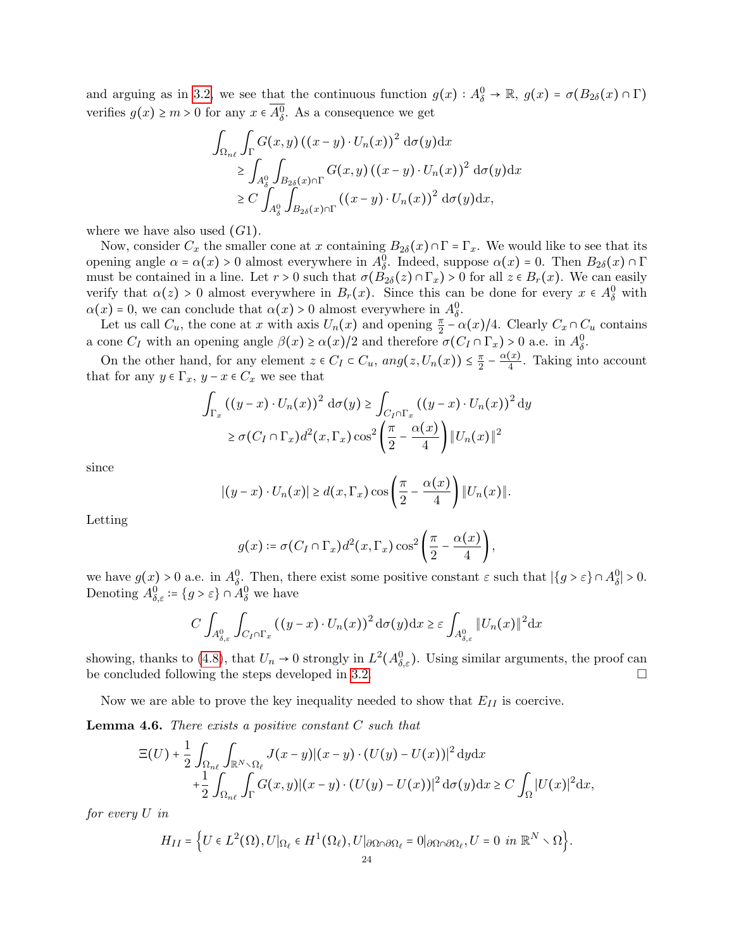and arguing as in [3.2,](#page-9-3) we see that the continuous function  $g(x) : A_{\delta}^0 \to \mathbb{R}$ ,  $g(x) = \sigma(B_{2\delta}(x) \cap \Gamma)$ verifies  $g(x) \ge m > 0$  for any  $x \in A^0_\delta$ . As a consequence we get

$$
\int_{\Omega_{n\ell}} \int_{\Gamma} G(x, y) ((x - y) \cdot U_n(x))^2 d\sigma(y) dx
$$
\n
$$
\geq \int_{A_\delta^0} \int_{B_{2\delta}(x) \cap \Gamma} G(x, y) ((x - y) \cdot U_n(x))^2 d\sigma(y) dx
$$
\n
$$
\geq C \int_{A_\delta^0} \int_{B_{2\delta}(x) \cap \Gamma} ((x - y) \cdot U_n(x))^2 d\sigma(y) dx,
$$

where we have also used  $(G1)$ .

Now, consider  $C_x$  the smaller cone at x containing  $B_{2\delta}(x) \cap \Gamma = \Gamma_x$ . We would like to see that its opening angle  $\alpha = \alpha(x) > 0$  almost everywhere in  $A_0^0$ . Indeed, suppose  $\alpha(x) = 0$ . Then  $B_{2\delta}(x) \cap \Gamma$ must be contained in a line. Let  $r > 0$  such that  $\sigma(\overline{B}_{2\delta}(z) \cap \Gamma_x) > 0$  for all  $z \in B_r(x)$ . We can easily verify that  $\alpha(z) > 0$  almost everywhere in  $B_r(x)$ . Since this can be done for every  $x \in A_\delta^0$  with  $\alpha(x) = 0$ , we can conclude that  $\alpha(x) > 0$  almost everywhere in  $A_0^0$ .

Let us call  $C_u$ , the cone at x with axis  $U_n(x)$  and opening  $\frac{\pi}{2} - \alpha(x)/4$ . Clearly  $C_x \cap C_u$  contains a cone  $C_I$  with an opening angle  $\beta(x) \ge \alpha(x)/2$  and therefore  $\sigma(C_I \cap \Gamma_x) > 0$  a.e. in  $A_\delta^0$ .

On the other hand, for any element  $z \in C_I \subset C_u$ ,  $ang(z, U_n(x)) \leq \frac{\pi}{2}$  $\frac{\pi}{2} - \frac{\alpha(x)}{4}$  $\frac{d(x)}{4}$ . Taking into account that for any  $y \in \Gamma_x$ ,  $y - x \in C_x$  we see that

$$
\int_{\Gamma_x} ((y-x) \cdot U_n(x))^2 \, d\sigma(y) \ge \int_{C_I \cap \Gamma_x} ((y-x) \cdot U_n(x))^2 \, dy
$$

$$
\ge \sigma(C_I \cap \Gamma_x) d^2(x, \Gamma_x) \cos^2\left(\frac{\pi}{2} - \frac{\alpha(x)}{4}\right) \|U_n(x)\|^2
$$

since

$$
|(y-x)\cdot U_n(x)| \geq d(x,\Gamma_x)\cos\left(\frac{\pi}{2}-\frac{\alpha(x)}{4}\right) \|U_n(x)\|.
$$

Letting

$$
g(x) \coloneqq \sigma(C_I \cap \Gamma_x) d^2(x, \Gamma_x) \cos^2\left(\frac{\pi}{2} - \frac{\alpha(x)}{4}\right),
$$

we have  $g(x) > 0$  a.e. in  $A_0^0$ . Then, there exist some positive constant  $\varepsilon$  such that  $|\{g > \varepsilon\} \cap A_0^0| > 0$ . Denoting  $A^0_{\delta,\varepsilon} \coloneqq \{g > \varepsilon\} \cap A^0_{\delta}$  we have

$$
C\int_{A_{\delta,\varepsilon}^0}\int_{C_I\cap\Gamma_x}\left((y-x)\cdot U_n(x)\right)^2\mathrm{d}\sigma(y)\mathrm{d}x\geq \varepsilon\int_{A_{\delta,\varepsilon}^0}\|U_n(x)\|^2\mathrm{d}x
$$

showing, thanks to [\(4.8\)](#page-18-2), that  $U_n \to 0$  strongly in  $L^2(A_{\delta,\varepsilon}^0)$ . Using similar arguments, the proof can be concluded following the steps developed in [3.2.](#page-9-3)  $\Box$ 

Now we are able to prove the key inequality needed to show that  $E_{II}$  is coercive.

**Lemma 4.6.** There exists a positive constant  $C$  such that

$$
\begin{aligned} \Xi(U) + \frac{1}{2} \int_{\Omega_{n\ell}} \int_{\mathbb{R}^N \setminus \Omega_{\ell}} J(x - y) |(x - y) \cdot (U(y) - U(x))|^2 \, \mathrm{d}y \mathrm{d}x \\ + \frac{1}{2} \int_{\Omega_{n\ell}} \int_{\Gamma} G(x, y) |(x - y) \cdot (U(y) - U(x))|^2 \, \mathrm{d}\sigma(y) \mathrm{d}x \ge C \int_{\Omega} |U(x)|^2 \mathrm{d}x, \end{aligned}
$$

for every U in

$$
H_{II} = \Big\{ U \in L^2(\Omega), U|_{\Omega_\ell} \in H^1(\Omega_\ell), U|_{\partial \Omega \cap \partial \Omega_\ell} = 0|_{\partial \Omega \cap \partial \Omega_\ell}, U = 0 \text{ in } \mathbb{R}^N \setminus \Omega \Big\}.
$$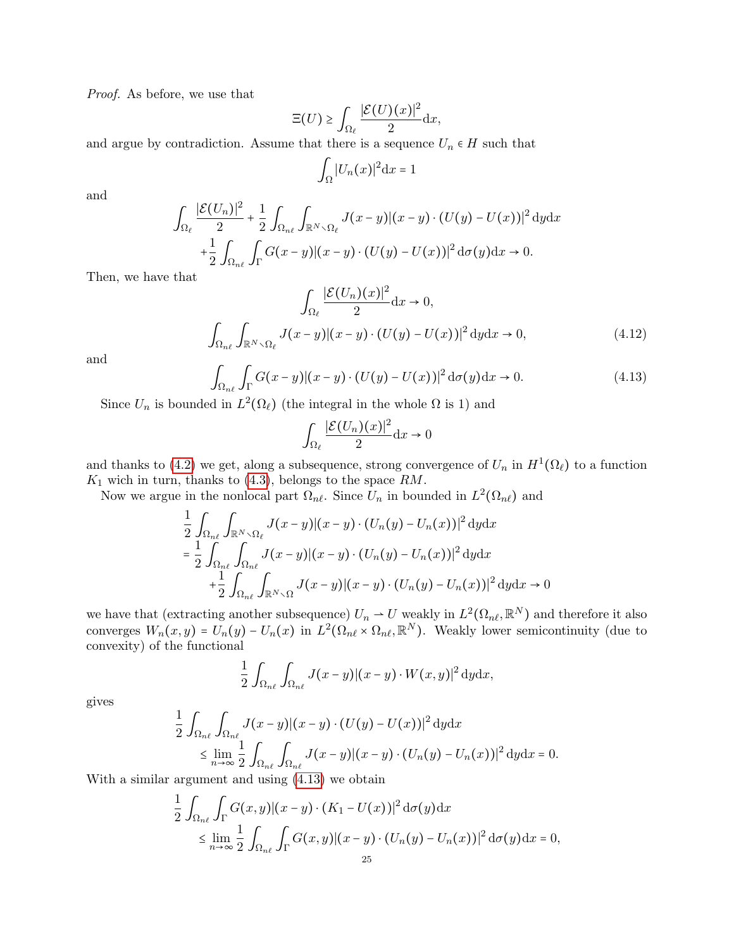Proof. As before, we use that

$$
\Xi(U) \ge \int_{\Omega_{\ell}} \frac{|\mathcal{E}(U)(x)|^2}{2} \mathrm{d}x,
$$

and argue by contradiction. Assume that there is a sequence  $U_n \in H$  such that

$$
\int_{\Omega} |U_n(x)|^2 \mathrm{d}x = 1
$$

and

$$
\int_{\Omega_{\ell}} \frac{|\mathcal{E}(U_n)|^2}{2} + \frac{1}{2} \int_{\Omega_{n\ell}} \int_{\mathbb{R}^N \setminus \Omega_{\ell}} J(x - y) |(x - y) \cdot (U(y) - U(x))|^2 \, dy \, dx
$$

$$
+ \frac{1}{2} \int_{\Omega_{n\ell}} \int_{\Gamma} G(x - y) |(x - y) \cdot (U(y) - U(x))|^2 \, d\sigma(y) \, dx \to 0.
$$

Then, we have that

$$
\int_{\Omega_{\ell}} \frac{|\mathcal{E}(U_n)(x)|^2}{2} dx \to 0,
$$
\n
$$
\int_{\Omega_{n\ell}} \int_{\mathbb{R}^N \setminus \Omega_{\ell}} J(x - y) |(x - y) \cdot (U(y) - U(x))|^2 dy dx \to 0,
$$
\n(4.12)

and

$$
\int_{\Omega_{n\ell}} \int_{\Gamma} G(x-y) |(x-y) \cdot (U(y) - U(x))|^2 d\sigma(y) dx \to 0.
$$
\n(4.13)

Since  $U_n$  is bounded in  $L^2(\Omega_\ell)$  (the integral in the whole  $\Omega$  is 1) and

<span id="page-24-1"></span><span id="page-24-0"></span>
$$
\int_{\Omega_{\ell}} \frac{|\mathcal{E}(U_n)(x)|^2}{2} \mathrm{d}x \to 0
$$

and thanks to [\(4.2\)](#page-16-3) we get, along a subsequence, strong convergence of  $U_n$  in  $H^1(\Omega_\ell)$  to a function  $K_1$  wich in turn, thanks to [\(4.3\)](#page-16-2), belongs to the space  $RM$ .

Now we argue in the nonlocal part  $\Omega_{n\ell}$ . Since  $U_n$  in bounded in  $L^2(\Omega_{n\ell})$  and

$$
\frac{1}{2} \int_{\Omega_{n\ell}} \int_{\mathbb{R}^{N} \setminus \Omega_{\ell}} J(x - y) |(x - y) \cdot (U_n(y) - U_n(x))|^2 \, dy \, dx
$$
\n
$$
= \frac{1}{2} \int_{\Omega_{n\ell}} \int_{\Omega_{n\ell}} J(x - y) |(x - y) \cdot (U_n(y) - U_n(x))|^2 \, dy \, dx
$$
\n
$$
+ \frac{1}{2} \int_{\Omega_{n\ell}} \int_{\mathbb{R}^{N} \setminus \Omega} J(x - y) |(x - y) \cdot (U_n(y) - U_n(x))|^2 \, dy \, dx \to 0
$$

we have that (extracting another subsequence)  $U_n \rightharpoonup U$  weakly in  $L^2(\Omega_{n\ell}, \mathbb{R}^N)$  and therefore it also converges  $W_n(x, y) = U_n(y) - U_n(x)$  in  $L^2(\Omega_{n\ell} \times \Omega_{n\ell}, \mathbb{R}^N)$ . Weakly lower semicontinuity (due to convexity) of the functional

$$
\frac{1}{2} \int_{\Omega_{n\ell}} \int_{\Omega_{n\ell}} J(x-y) |(x-y) \cdot W(x,y)|^2 dy dx,
$$

gives

$$
\frac{1}{2} \int_{\Omega_{n\ell}} \int_{\Omega_{n\ell}} J(x-y) |(x-y) \cdot (U(y) - U(x))|^2 dy dx
$$
\n
$$
\leq \lim_{n \to \infty} \frac{1}{2} \int_{\Omega_{n\ell}} \int_{\Omega_{n\ell}} J(x-y) |(x-y) \cdot (U_n(y) - U_n(x))|^2 dy dx = 0.
$$

With a similar argument and using [\(4.13\)](#page-24-0) we obtain

$$
\frac{1}{2} \int_{\Omega_{n\ell}} \int_{\Gamma} G(x, y) |(x - y) \cdot (K_1 - U(x))|^2 d\sigma(y) dx
$$
  
\$\leq \lim\_{n \to \infty} \frac{1}{2} \int\_{\Omega\_{n\ell}} \int\_{\Gamma} G(x, y) |(x - y) \cdot (U\_n(y) - U\_n(x))|^2 d\sigma(y) dx = 0\$,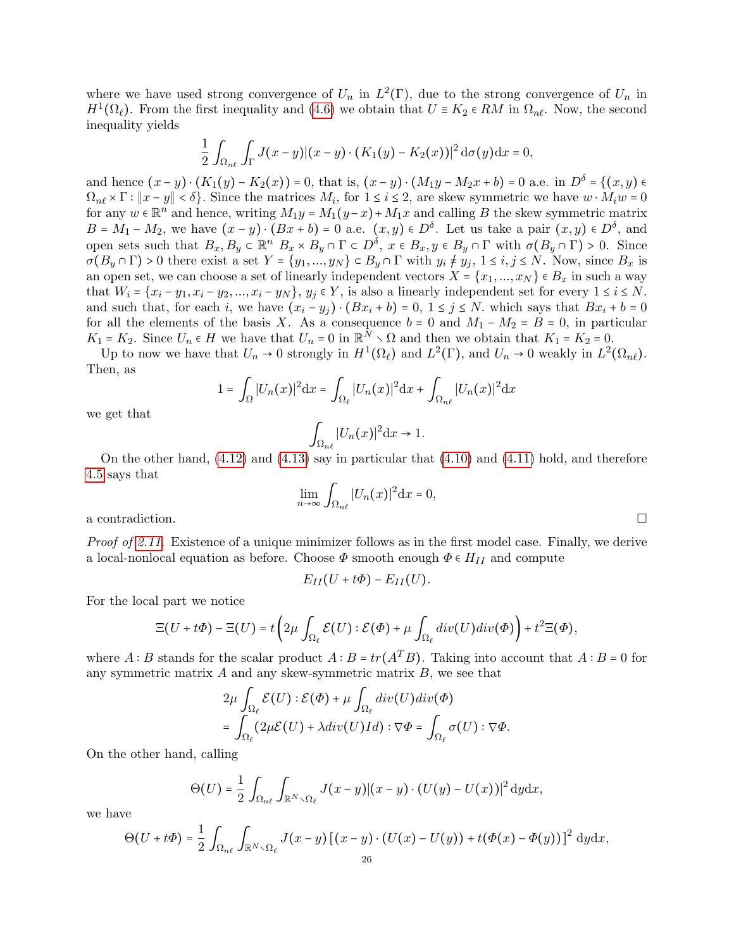where we have used strong convergence of  $U_n$  in  $L^2(\Gamma)$ , due to the strong convergence of  $U_n$  in  $H^1(\Omega_\ell)$ . From the first inequality and [\(4.6\)](#page-18-3) we obtain that  $U \equiv K_2 \in RM$  in  $\Omega_{n\ell}$ . Now, the second inequality yields

$$
\frac{1}{2}\int_{\Omega_{n\ell}}\int_{\Gamma}J(x-y)|(x-y)\cdot (K_1(y)-K_2(x))|^2\,\mathrm{d}\sigma(y)\mathrm{d}x=0,
$$

and hence  $(x - y) \cdot (K_1(y) - K_2(x)) = 0$ , that is,  $(x - y) \cdot (M_1y - M_2x + b) = 0$  a.e. in  $D^{\delta} = \{(x, y) \in$  $\Omega_{n\ell} \times \Gamma : ||x - y|| < \delta$ . Since the matrices  $M_i$ , for  $1 \le i \le 2$ , are skew symmetric we have  $w \cdot M_i w = 0$ for any  $w \in \mathbb{R}^n$  and hence, writing  $M_1y = M_1(y-x) + M_1x$  and calling B the skew symmetric matrix  $B = M_1 - M_2$ , we have  $(x - y) \cdot (Bx + b) = 0$  a.e.  $(x, y) \in D^{\delta}$ . Let us take a pair  $(x, y) \in D^{\delta}$ , and open sets such that  $B_x, B_y \in \mathbb{R}^n$   $B_x \times B_y \cap \Gamma \subset D^{\delta}$ ,  $x \in B_x, y \in B_y \cap \Gamma$  with  $\sigma(B_y \cap \Gamma) > 0$ . Since  $\sigma(B_y \cap \Gamma) > 0$  there exist a set  $Y = \{y_1, ..., y_N\} \subset B_y \cap \Gamma$  with  $y_i \neq y_j$ ,  $1 \leq i, j \leq N$ . Now, since  $B_x$  is an open set, we can choose a set of linearly independent vectors  $X = \{x_1, ..., x_N\} \in B_x$  in such a way that  $W_i = \{x_i - y_1, x_i - y_2, ..., x_i - y_N\}, y_i \in Y$ , is also a linearly independent set for every  $1 \le i \le N$ . and such that, for each i, we have  $(x_i - y_j) \cdot (Bx_i + b) = 0$ ,  $1 \le j \le N$ . which says that  $Bx_i + b = 0$ for all the elements of the basis X. As a consequence  $b = 0$  and  $M_1 - M_2 = B = 0$ , in particular  $K_1 = K_2$ . Since  $U_n \in H$  we have that  $U_n = 0$  in  $\mathbb{R}^N \setminus \Omega$  and then we obtain that  $K_1 = K_2 = 0$ .<br>The to now we have that  $U_n = 0$  strengly in  $U_n^1(\Omega)$  and  $L^2(\Gamma)$  and  $U_n = 0$  weakly in  $L^2(\Omega)$ 

Up to now we have that  $U_n \to 0$  strongly in  $H^1(\Omega_\ell)$  and  $L^2(\Gamma)$ , and  $U_n \to 0$  weakly in  $L^2(\Omega_{n\ell})$ . Then, as

$$
1 = \int_{\Omega} |U_n(x)|^2 dx = \int_{\Omega_{\ell}} |U_n(x)|^2 dx + \int_{\Omega_{n\ell}} |U_n(x)|^2 dx
$$

we get that

$$
\int_{\Omega_{n\ell}}|U_n(x)|^2{\rm d}x\to 1.
$$

On the other hand,  $(4.12)$  and  $(4.13)$  say in particular that  $(4.10)$  and  $(4.11)$  hold, and therefore [4.5](#page-22-2) says that

$$
\lim_{n \to \infty} \int_{\Omega_{n\ell}} |U_n(x)|^2 \mathrm{d}x = 0,
$$

a contradiction.

Proof of [2.11.](#page-8-2) Existence of a unique minimizer follows as in the first model case. Finally, we derive a local-nonlocal equation as before. Choose  $\Phi$  smooth enough  $\Phi \in H_{II}$  and compute

$$
E_{II}(U+t\Phi)-E_{II}(U).
$$

For the local part we notice

$$
\Xi(U+t\Phi)-\Xi(U)=t\left(2\mu\int_{\Omega_{\ell}}\mathcal{E}(U):\mathcal{E}(\Phi)+\mu\int_{\Omega_{\ell}}div(U)div(\Phi)\right)+t^2\Xi(\Phi),
$$

where A ∶ B stands for the scalar product  $A : B = tr(A^T B)$ . Taking into account that  $A : B = 0$  for any symmetric matrix  $A$  and any skew-symmetric matrix  $B$ , we see that

$$
2\mu \int_{\Omega_{\ell}} \mathcal{E}(U) : \mathcal{E}(\Phi) + \mu \int_{\Omega_{\ell}} div(U)div(\Phi)
$$
  
= 
$$
\int_{\Omega_{\ell}} (2\mu \mathcal{E}(U) + \lambda div(U)Id) : \nabla \Phi = \int_{\Omega_{\ell}} \sigma(U) : \nabla \Phi.
$$

On the other hand, calling

$$
\Theta(U) = \frac{1}{2} \int_{\Omega_{n\ell}} \int_{\mathbb{R}^N \setminus \Omega_{\ell}} J(x-y) |(x-y) \cdot (U(y) - U(x))|^2 dy dx,
$$

we have

$$
\Theta(U+t\Phi)=\frac{1}{2}\int_{\Omega_{n\ell}}\int_{\mathbb{R}^N\smallsetminus\Omega_{\ell}}J(x-y)\left[\left(x-y\right)\cdot\left(U(x)-U(y)\right)+t\big(\Phi(x)-\Phi(y)\big)\right]^2\,\mathrm{d} y\mathrm{d} x,
$$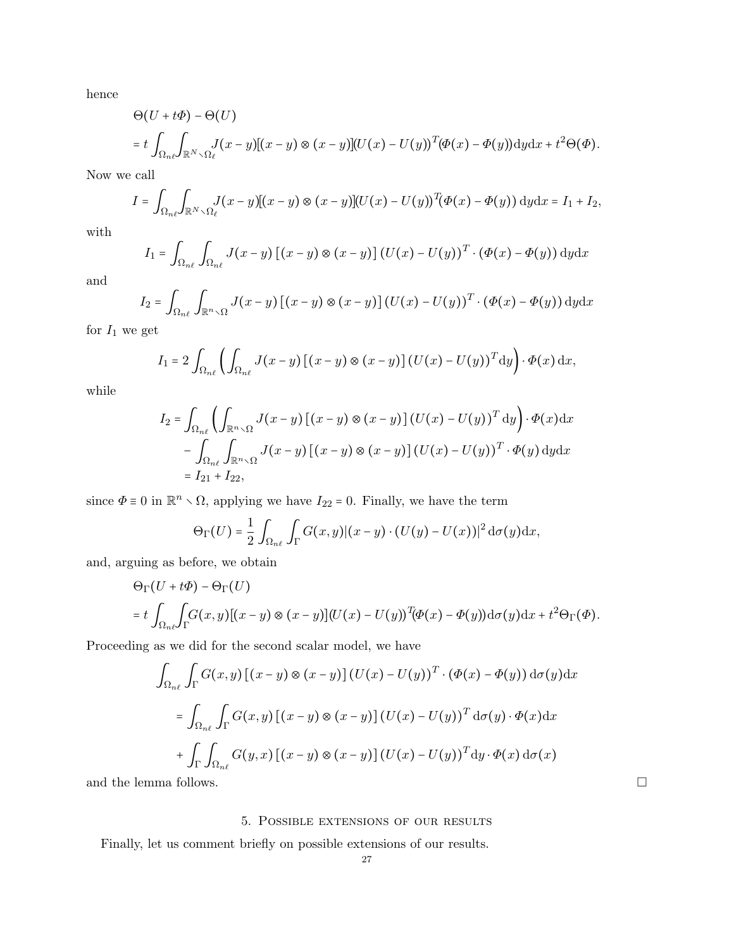hence

$$
\Theta(U+t\Phi) - \Theta(U)
$$
  
=  $t \int_{\Omega_{n\ell}} \int_{\mathbb{R}^N \setminus \Omega_{\ell}} J(x-y) [(x-y) \otimes (x-y)] (U(x) - U(y))^{T} (\Phi(x) - \Phi(y)) \mathrm{d}y \mathrm{d}x + t^2 \Theta(\Phi)).$ 

Now we call

$$
I = \int_{\Omega_{n\ell}} \int_{\mathbb{R}^N \setminus \Omega_{\ell}} J(x - y) [(x - y) \otimes (x - y)] (U(x) - U(y))^{T} (\Phi(x) - \Phi(y)) \, dy \, dx = I_1 + I_2,
$$

with

$$
I_1 = \int_{\Omega_{n\ell}} \int_{\Omega_{n\ell}} J(x - y) \left[ (x - y) \otimes (x - y) \right] (U(x) - U(y))^T \cdot (\Phi(x) - \Phi(y)) \, dy \, dx
$$

and

$$
I_2 = \int_{\Omega_{n\ell}} \int_{\mathbb{R}^n \setminus \Omega} J(x - y) \left[ (x - y) \otimes (x - y) \right] (U(x) - U(y))^T \cdot (\Phi(x) - \Phi(y)) \, dy \, dx
$$

for  $I_1$  we get

$$
I_1 = 2 \int_{\Omega_{n\ell}} \left( \int_{\Omega_{n\ell}} J(x - y) \left[ (x - y) \otimes (x - y) \right] (U(x) - U(y))^T dy \right) \cdot \Phi(x) dx,
$$

while

$$
I_2 = \int_{\Omega_{n\ell}} \left( \int_{\mathbb{R}^{n} \setminus \Omega} J(x - y) \left[ (x - y) \otimes (x - y) \right] (U(x) - U(y))^T dy \right) \cdot \Phi(x) dx
$$
  

$$
- \int_{\Omega_{n\ell}} \int_{\mathbb{R}^{n} \setminus \Omega} J(x - y) \left[ (x - y) \otimes (x - y) \right] (U(x) - U(y))^T \cdot \Phi(y) dy dx
$$
  

$$
= I_{21} + I_{22},
$$

since  $\Phi \equiv 0$  in  $\mathbb{R}^n \setminus \Omega$ , applying we have  $I_{22} = 0$ . Finally, we have the term

$$
\Theta_{\Gamma}(U) = \frac{1}{2} \int_{\Omega_{n\ell}} \int_{\Gamma} G(x, y) |(x - y) \cdot (U(y) - U(x))|^2 d\sigma(y) dx,
$$

and, arguing as before, we obtain

$$
\Theta_{\Gamma}(U+t\Phi) - \Theta_{\Gamma}(U)
$$
  
=  $t \int_{\Omega_{n\ell}} \int_{\Gamma} G(x,y) [(x-y) \otimes (x-y)] (U(x) - U(y))^{T} (\Phi(x) - \Phi(y)) d\sigma(y) dx + t^{2} \Theta_{\Gamma}(\Phi).$ 

Proceeding as we did for the second scalar model, we have

$$
\int_{\Omega_{n\ell}} \int_{\Gamma} G(x, y) \left[ (x - y) \otimes (x - y) \right] (U(x) - U(y))^{T} \cdot (\Phi(x) - \Phi(y)) d\sigma(y) dx
$$

$$
= \int_{\Omega_{n\ell}} \int_{\Gamma} G(x, y) \left[ (x - y) \otimes (x - y) \right] (U(x) - U(y))^{T} d\sigma(y) \cdot \Phi(x) dx
$$

$$
+ \int_{\Gamma} \int_{\Omega_{n\ell}} G(y, x) \left[ (x - y) \otimes (x - y) \right] (U(x) - U(y))^{T} dy \cdot \Phi(x) d\sigma(x)
$$

and the lemma follows.  $\hfill \square$ 

# 5. Possible extensions of our results

<span id="page-26-0"></span>Finally, let us comment briefly on possible extensions of our results.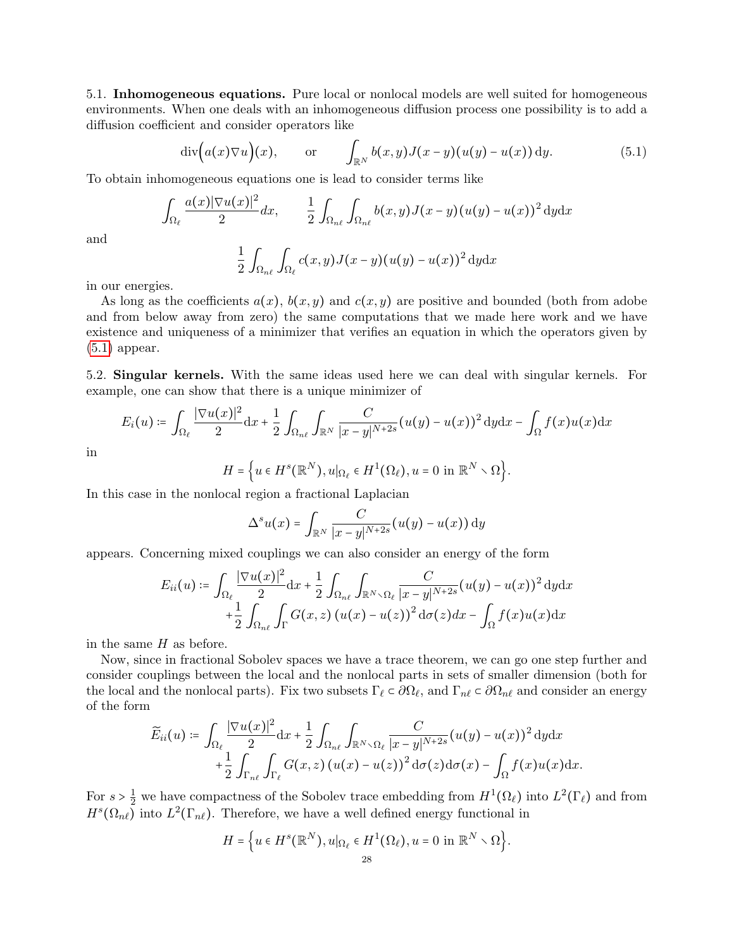5.1. Inhomogeneous equations. Pure local or nonlocal models are well suited for homogeneous environments. When one deals with an inhomogeneous diffusion process one possibility is to add a diffusion coefficient and consider operators like

$$
\operatorname{div}\Bigl(a(x)\nabla u\Bigr)(x), \qquad \text{or} \qquad \int_{\mathbb{R}^N} b(x,y)J(x-y)(u(y)-u(x))\,\mathrm{d}y. \tag{5.1}
$$

To obtain inhomogeneous equations one is lead to consider terms like

$$
\int_{\Omega_{\ell}} \frac{a(x)|\nabla u(x)|^2}{2} dx, \qquad \frac{1}{2} \int_{\Omega_{n\ell}} \int_{\Omega_{n\ell}} b(x,y) J(x-y) (u(y) - u(x))^2 dy dx
$$

and

<span id="page-27-0"></span>
$$
\frac{1}{2}\int_{\Omega_{n\ell}}\int_{\Omega_{\ell}}c(x,y)J(x-y)(u(y)-u(x))^{2} dydx
$$

in our energies.

As long as the coefficients  $a(x)$ ,  $b(x, y)$  and  $c(x, y)$  are positive and bounded (both from adobe and from below away from zero) the same computations that we made here work and we have existence and uniqueness of a minimizer that verifies an equation in which the operators given by [\(5.1\)](#page-27-0) appear.

5.2. Singular kernels. With the same ideas used here we can deal with singular kernels. For example, one can show that there is a unique minimizer of

$$
E_i(u) \coloneqq \int_{\Omega_\ell} \frac{|\nabla u(x)|^2}{2} dx + \frac{1}{2} \int_{\Omega_{n\ell}} \int_{\mathbb{R}^N} \frac{C}{|x-y|^{N+2s}} (u(y) - u(x))^2 dy dx - \int_{\Omega} f(x) u(x) dx
$$

in

$$
H = \Big\{ u \in H^s(\mathbb{R}^N), u|_{\Omega_\ell} \in H^1(\Omega_\ell), u = 0 \text{ in } \mathbb{R}^N \setminus \Omega \Big\}.
$$

In this case in the nonlocal region a fractional Laplacian

$$
\Delta^s u(x) = \int_{\mathbb{R}^N} \frac{C}{|x-y|^{N+2s}} (u(y) - u(x)) \, dy
$$

appears. Concerning mixed couplings we can also consider an energy of the form

$$
E_{ii}(u) \coloneqq \int_{\Omega_{\ell}} \frac{|\nabla u(x)|^2}{2} dx + \frac{1}{2} \int_{\Omega_{n\ell}} \int_{\mathbb{R}^N \setminus \Omega_{\ell}} \frac{C}{|x - y|^{N+2s}} (u(y) - u(x))^2 dy dx
$$
  
+ 
$$
\frac{1}{2} \int_{\Omega_{n\ell}} \int_{\Gamma} G(x, z) (u(x) - u(z))^2 d\sigma(z) dx - \int_{\Omega} f(x) u(x) dx
$$

in the same  $H$  as before.

Now, since in fractional Sobolev spaces we have a trace theorem, we can go one step further and consider couplings between the local and the nonlocal parts in sets of smaller dimension (both for the local and the nonlocal parts). Fix two subsets  $\Gamma_\ell \subset \partial \Omega_\ell$ , and  $\Gamma_{n\ell} \subset \partial \Omega_{n\ell}$  and consider an energy of the form

$$
\widetilde{E}_{ii}(u) \coloneqq \int_{\Omega_{\ell}} \frac{|\nabla u(x)|^2}{2} dx + \frac{1}{2} \int_{\Omega_{n\ell}} \int_{\mathbb{R}^N \setminus \Omega_{\ell}} \frac{C}{|x - y|^{N+2s}} (u(y) - u(x))^2 dy dx \n+ \frac{1}{2} \int_{\Gamma_{n\ell}} \int_{\Gamma_{\ell}} G(x, z) (u(x) - u(z))^2 d\sigma(z) d\sigma(x) - \int_{\Omega} f(x) u(x) dx.
$$

For  $s > \frac{1}{2}$ <sup>1</sup>/<sub>2</sub> we have compactness of the Sobolev trace embedding from  $H^1(\Omega_\ell)$  into  $L^2(\Gamma_\ell)$  and from  $H^s(\Omega_{n\ell})$  into  $L^2(\Gamma_{n\ell})$ . Therefore, we have a well defined energy functional in

$$
H = \Big\{ u \in H^s(\mathbb{R}^N), u|_{\Omega_\ell} \in H^1(\Omega_\ell), u = 0 \text{ in } \mathbb{R}^N \setminus \Omega \Big\}.
$$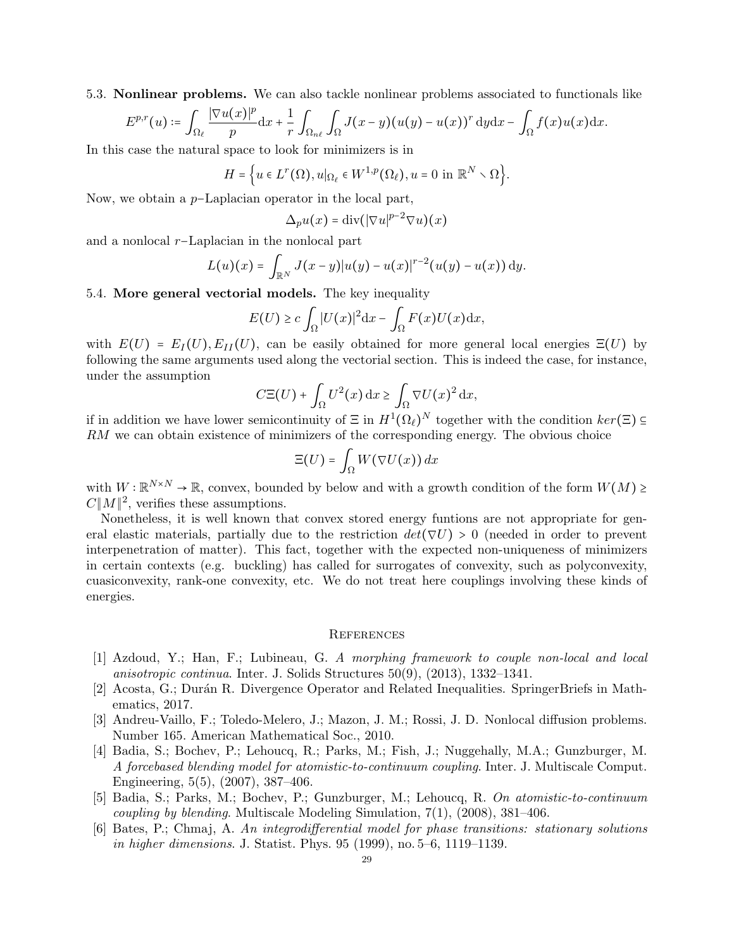5.3. Nonlinear problems. We can also tackle nonlinear problems associated to functionals like

$$
E^{p,r}(u) \coloneqq \int_{\Omega_\ell} \frac{|\nabla u(x)|^p}{p} \mathrm{d}x + \frac{1}{r} \int_{\Omega_{n\ell}} \int_{\Omega} J(x-y) (u(y) - u(x))^r \, \mathrm{d}y \mathrm{d}x - \int_{\Omega} f(x) u(x) \mathrm{d}x.
$$

In this case the natural space to look for minimizers is in

$$
H = \Big\{ u \in L^r(\Omega), u|_{\Omega_\ell} \in W^{1,p}(\Omega_\ell), u = 0 \text{ in } \mathbb{R}^N \setminus \Omega \Big\}.
$$

Now, we obtain a p−Laplacian operator in the local part,

$$
\Delta_p u(x) = \operatorname{div}(|\nabla u|^{p-2} \nabla u)(x)
$$

and a nonlocal r−Laplacian in the nonlocal part

$$
L(u)(x) = \int_{\mathbb{R}^N} J(x-y)|u(y) - u(x)|^{r-2}(u(y) - u(x)) dy.
$$

## <span id="page-28-5"></span>5.4. More general vectorial models. The key inequality

$$
E(U) \ge c \int_{\Omega} |U(x)|^2 dx - \int_{\Omega} F(x)U(x) dx,
$$

with  $E(U) = E_I(U), E_{II}(U)$ , can be easily obtained for more general local energies  $\Xi(U)$  by following the same arguments used along the vectorial section. This is indeed the case, for instance, under the assumption

$$
C\Xi(U) + \int_{\Omega} U^2(x) \, \mathrm{d}x \ge \int_{\Omega} \nabla U(x)^2 \, \mathrm{d}x,
$$

if in addition we have lower semicontinuity of  $\Xi$  in  $H^1(\Omega_\ell)^N$  together with the condition  $ker(\Xi) \subseteq$ <br> $EM$  we see altain quistance of minimizers of the company which appear with the christen absise RM we can obtain existence of minimizers of the corresponding energy. The obvious choice

$$
\Xi(U) = \int_{\Omega} W(\nabla U(x)) dx
$$

with  $W : \mathbb{R}^{N \times N} \to \mathbb{R}$ , convex, bounded by below and with a growth condition of the form  $W(M) \ge C \|M\|^2$  verifies these assumptions  $C||M||^2$ , verifies these assumptions.

Nonetheless, it is well known that convex stored energy funtions are not appropriate for general elastic materials, partially due to the restriction  $det(\nabla U) > 0$  (needed in order to prevent interpenetration of matter). This fact, together with the expected non-uniqueness of minimizers in certain contexts (e.g. buckling) has called for surrogates of convexity, such as polyconvexity, cuasiconvexity, rank-one convexity, etc. We do not treat here couplings involving these kinds of energies.

#### **REFERENCES**

- <span id="page-28-4"></span>[1] Azdoud, Y.; Han, F.; Lubineau, G. A morphing framework to couple non-local and local anisotropic continua. Inter. J. Solids Structures 50(9), (2013), 1332–1341.
- <span id="page-28-6"></span>[2] Acosta, G.; Durán R. Divergence Operator and Related Inequalities. SpringerBriefs in Mathematics, 2017.
- <span id="page-28-1"></span>[3] Andreu-Vaillo, F.; Toledo-Melero, J.; Mazon, J. M.; Rossi, J. D. Nonlocal diffusion problems. Number 165. American Mathematical Soc., 2010.
- <span id="page-28-2"></span>[4] Badia, S.; Bochev, P.; Lehoucq, R.; Parks, M.; Fish, J.; Nuggehally, M.A.; Gunzburger, M. A forcebased blending model for atomistic-to-continuum coupling. Inter. J. Multiscale Comput. Engineering, 5(5), (2007), 387–406.
- <span id="page-28-3"></span>[5] Badia, S.; Parks, M.; Bochev, P.; Gunzburger, M.; Lehoucq, R. On atomistic-to-continuum *coupling by blending.* Multiscale Modeling Simulation,  $7(1)$ ,  $(2008)$ ,  $381-406$ .
- <span id="page-28-0"></span>[6] Bates, P.; Chmaj, A. An integrodifferential model for phase transitions: stationary solutions in higher dimensions. J. Statist. Phys. 95 (1999), no. 5–6, 1119–1139.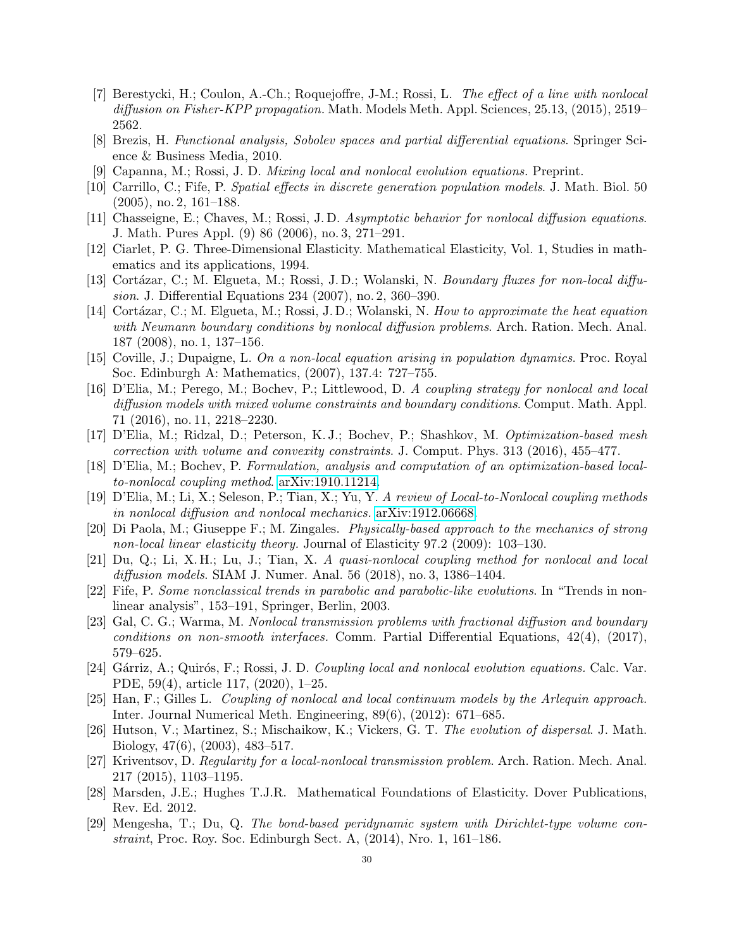- <span id="page-29-0"></span>[7] Berestycki, H.; Coulon, A.-Ch.; Roquejoffre, J-M.; Rossi, L. The effect of a line with nonlocal diffusion on Fisher-KPP propagation. Math. Models Meth. Appl. Sciences, 25.13, (2015), 2519– 2562.
- <span id="page-29-20"></span>[8] Brezis, H. Functional analysis, Sobolev spaces and partial differential equations. Springer Science & Business Media, 2010.
- <span id="page-29-1"></span>[9] Capanna, M.; Rossi, J. D. Mixing local and nonlocal evolution equations. Preprint.
- <span id="page-29-2"></span>[10] Carrillo, C.; Fife, P. Spatial effects in discrete generation population models. J. Math. Biol. 50 (2005), no. 2, 161–188.
- <span id="page-29-3"></span>[11] Chasseigne, E.; Chaves, M.; Rossi, J. D. Asymptotic behavior for nonlocal diffusion equations. J. Math. Pures Appl. (9) 86 (2006), no. 3, 271–291.
- <span id="page-29-21"></span>[12] Ciarlet, P. G. Three-Dimensional Elasticity. Mathematical Elasticity, Vol. 1, Studies in mathematics and its applications, 1994.
- <span id="page-29-4"></span>[13] Cortázar, C.; M. Elgueta, M.; Rossi, J. D.; Wolanski, N. Boundary fluxes for non-local diffusion. J. Differential Equations 234 (2007), no. 2, 360–390.
- <span id="page-29-5"></span>[14] Cortázar, C.; M. Elgueta, M.; Rossi, J. D.; Wolanski, N. How to approximate the heat equation with Neumann boundary conditions by nonlocal diffusion problems. Arch. Ration. Mech. Anal. 187 (2008), no. 1, 137–156.
- <span id="page-29-6"></span>[15] Coville, J.; Dupaigne, L. On a non-local equation arising in population dynamics. Proc. Royal Soc. Edinburgh A: Mathematics, (2007), 137.4: 727–755.
- <span id="page-29-11"></span>[16] D'Elia, M.; Perego, M.; Bochev, P.; Littlewood, D. A coupling strategy for nonlocal and local diffusion models with mixed volume constraints and boundary conditions. Comput. Math. Appl. 71 (2016), no. 11, 2218–2230.
- <span id="page-29-12"></span>[17] D'Elia, M.; Ridzal, D.; Peterson, K. J.; Bochev, P.; Shashkov, M. Optimization-based mesh correction with volume and convexity constraints. J. Comput. Phys. 313 (2016), 455–477.
- <span id="page-29-17"></span>[18] D'Elia, M.; Bochev, P. Formulation, analysis and computation of an optimization-based localto-nonlocal coupling method. [arXiv:1910.11214.](http://arxiv.org/abs/1910.11214)
- <span id="page-29-19"></span>[19] D'Elia, M.; Li, X.; Seleson, P.; Tian, X.; Yu, Y. A review of Local-to-Nonlocal coupling methods in nonlocal diffusion and nonlocal mechanics. [arXiv:1912.06668.](http://arxiv.org/abs/1912.06668)
- <span id="page-29-7"></span>[20] Di Paola, M.; Giuseppe F.; M. Zingales. Physically-based approach to the mechanics of strong non-local linear elasticity theory. Journal of Elasticity 97.2 (2009): 103–130.
- <span id="page-29-13"></span>[21] Du, Q.; Li, X. H.; Lu, J.; Tian, X. A quasi-nonlocal coupling method for nonlocal and local diffusion models. SIAM J. Numer. Anal. 56 (2018), no. 3, 1386–1404.
- <span id="page-29-8"></span>[22] Fife, P. Some nonclassical trends in parabolic and parabolic-like evolutions. In "Trends in nonlinear analysis", 153–191, Springer, Berlin, 2003.
- <span id="page-29-14"></span>[23] Gal, C. G.; Warma, M. Nonlocal transmission problems with fractional diffusion and boundary conditions on non-smooth interfaces. Comm. Partial Differential Equations,  $42(4)$ ,  $(2017)$ , 579–625.
- <span id="page-29-15"></span>[24] Gárriz, A.; Quirós, F.; Rossi, J. D. Coupling local and nonlocal evolution equations. Calc. Var. PDE, 59(4), article 117, (2020), 1–25.
- <span id="page-29-18"></span>[25] Han, F.; Gilles L. Coupling of nonlocal and local continuum models by the Arlequin approach. Inter. Journal Numerical Meth. Engineering, 89(6), (2012): 671–685.
- <span id="page-29-9"></span>[26] Hutson, V.; Martinez, S.; Mischaikow, K.; Vickers, G. T. The evolution of dispersal. J. Math. Biology, 47(6), (2003), 483–517.
- <span id="page-29-16"></span>[27] Kriventsov, D. Regularity for a local-nonlocal transmission problem. Arch. Ration. Mech. Anal. 217 (2015), 1103–1195.
- <span id="page-29-22"></span>[28] Marsden, J.E.; Hughes T.J.R. Mathematical Foundations of Elasticity. Dover Publications, Rev. Ed. 2012.
- <span id="page-29-10"></span>[29] Mengesha, T.; Du, Q. The bond-based peridynamic system with Dirichlet-type volume constraint, Proc. Roy. Soc. Edinburgh Sect. A, (2014), Nro. 1, 161–186.